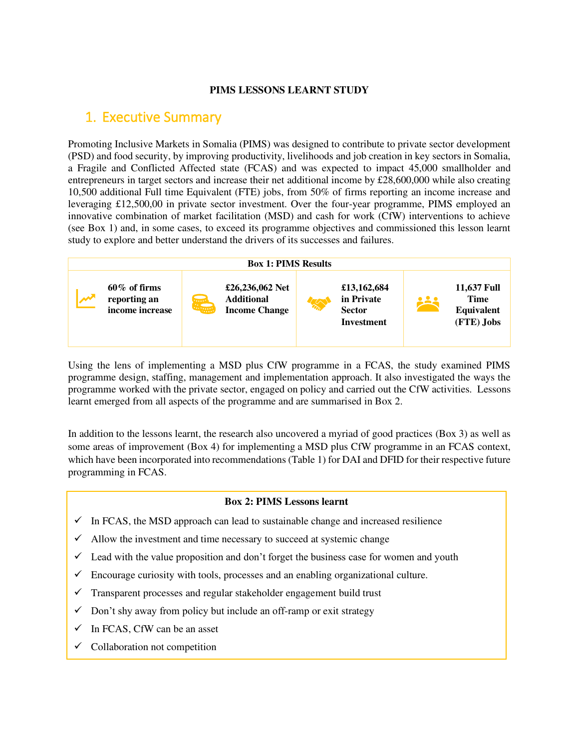#### **PIMS LESSONS LEARNT STUDY**

## <span id="page-0-0"></span>1. Executive Summary

Promoting Inclusive Markets in Somalia (PIMS) was designed to contribute to private sector development (PSD) and food security, by improving productivity, livelihoods and job creation in key sectors in Somalia, a Fragile and Conflicted Affected state (FCAS) and was expected to impact 45,000 smallholder and entrepreneurs in target sectors and increase their net additional income by £28,600,000 while also creating 10,500 additional Full time Equivalent (FTE) jobs, from 50% of firms reporting an income increase and leveraging £12,500,00 in private sector investment. Over the four-year programme, PIMS employed an innovative combination of market facilitation (MSD) and cash for work (CfW) interventions to achieve (see Box 1) and, in some cases, to exceed its programme objectives and commissioned this lesson learnt study to explore and better understand the drivers of its successes and failures.



Using the lens of implementing a MSD plus CfW programme in a FCAS, the study examined PIMS programme design, staffing, management and implementation approach. It also investigated the ways the programme worked with the private sector, engaged on policy and carried out the CfW activities. Lessons learnt emerged from all aspects of the programme and are summarised in Box 2.

In addition to the lessons learnt, the research also uncovered a myriad of good practices (Box 3) as well as some areas of improvement (Box 4) for implementing a MSD plus CfW programme in an FCAS context, which have been incorporated into recommendations (Table 1) for DAI and DFID for their respective future programming in FCAS.

#### **Box 2: PIMS Lessons learnt**

- $\checkmark$  In FCAS, the MSD approach can lead to sustainable change and increased resilience
- $\checkmark$  Allow the investment and time necessary to succeed at systemic change
- $\checkmark$  Lead with the value proposition and don't forget the business case for women and youth
- $\checkmark$  Encourage curiosity with tools, processes and an enabling organizational culture.
- $\checkmark$  Transparent processes and regular stakeholder engagement build trust
- $\checkmark$  Don't shy away from policy but include an off-ramp or exit strategy
- $\checkmark$  In FCAS, CfW can be an asset
- $\checkmark$  Collaboration not competition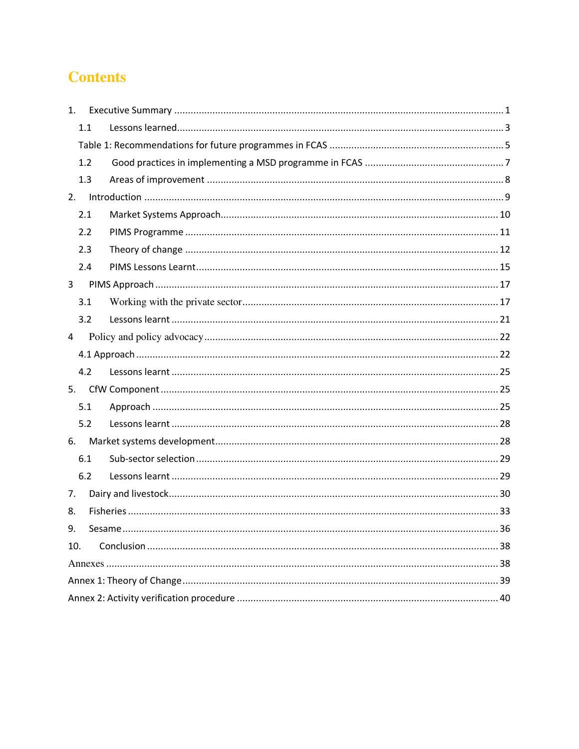# **Contents**

| 1.  |     |  |  |  |  |
|-----|-----|--|--|--|--|
|     | 1.1 |  |  |  |  |
|     |     |  |  |  |  |
|     | 1.2 |  |  |  |  |
|     | 1.3 |  |  |  |  |
| 2.  |     |  |  |  |  |
|     | 2.1 |  |  |  |  |
|     | 2.2 |  |  |  |  |
|     | 2.3 |  |  |  |  |
|     | 2.4 |  |  |  |  |
| 3   |     |  |  |  |  |
|     | 3.1 |  |  |  |  |
|     | 3.2 |  |  |  |  |
| 4   |     |  |  |  |  |
|     |     |  |  |  |  |
|     | 4.2 |  |  |  |  |
|     |     |  |  |  |  |
|     | 5.1 |  |  |  |  |
|     | 5.2 |  |  |  |  |
| 6.  |     |  |  |  |  |
|     | 6.1 |  |  |  |  |
|     | 6.2 |  |  |  |  |
| 7.  |     |  |  |  |  |
| 8.  |     |  |  |  |  |
| 9.  |     |  |  |  |  |
| 10. |     |  |  |  |  |
|     |     |  |  |  |  |
|     |     |  |  |  |  |
|     |     |  |  |  |  |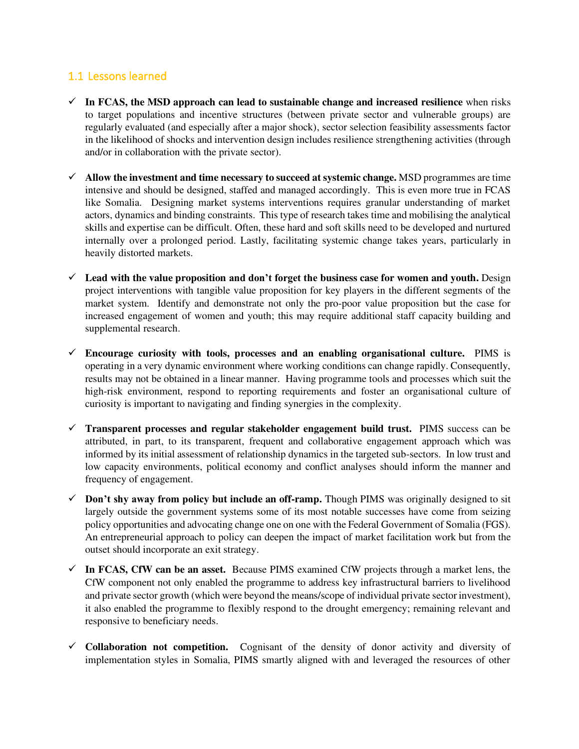### <span id="page-2-0"></span>1.1 Lessons learned

- $\checkmark$  In FCAS, the MSD approach can lead to sustainable change and increased resilience when risks to target populations and incentive structures (between private sector and vulnerable groups) are regularly evaluated (and especially after a major shock), sector selection feasibility assessments factor in the likelihood of shocks and intervention design includes resilience strengthening activities (through and/or in collaboration with the private sector).
- ✓ **Allow the investment and time necessary to succeed at systemic change.** MSD programmes are time intensive and should be designed, staffed and managed accordingly. This is even more true in FCAS like Somalia. Designing market systems interventions requires granular understanding of market actors, dynamics and binding constraints. This type of research takes time and mobilising the analytical skills and expertise can be difficult. Often, these hard and soft skills need to be developed and nurtured internally over a prolonged period. Lastly, facilitating systemic change takes years, particularly in heavily distorted markets.
- ✓ **Lead with the value proposition and don't forget the business case for women and youth.** Design project interventions with tangible value proposition for key players in the different segments of the market system. Identify and demonstrate not only the pro-poor value proposition but the case for increased engagement of women and youth; this may require additional staff capacity building and supplemental research.
- ✓ **Encourage curiosity with tools, processes and an enabling organisational culture.** PIMS is operating in a very dynamic environment where working conditions can change rapidly. Consequently, results may not be obtained in a linear manner. Having programme tools and processes which suit the high-risk environment, respond to reporting requirements and foster an organisational culture of curiosity is important to navigating and finding synergies in the complexity.
- ✓ **Transparent processes and regular stakeholder engagement build trust.** PIMS success can be attributed, in part, to its transparent, frequent and collaborative engagement approach which was informed by its initial assessment of relationship dynamics in the targeted sub-sectors.In low trust and low capacity environments, political economy and conflict analyses should inform the manner and frequency of engagement.
- ✓ **Don't shy away from policy but include an off-ramp.** Though PIMS was originally designed to sit largely outside the government systems some of its most notable successes have come from seizing policy opportunities and advocating change one on one with the Federal Government of Somalia (FGS). An entrepreneurial approach to policy can deepen the impact of market facilitation work but from the outset should incorporate an exit strategy.
- ✓ **In FCAS, CfW can be an asset.** Because PIMS examined CfW projects through a market lens, the CfW component not only enabled the programme to address key infrastructural barriers to livelihood and private sector growth (which were beyond the means/scope of individual private sector investment), it also enabled the programme to flexibly respond to the drought emergency; remaining relevant and responsive to beneficiary needs.
- ✓ **Collaboration not competition.** Cognisant of the density of donor activity and diversity of implementation styles in Somalia, PIMS smartly aligned with and leveraged the resources of other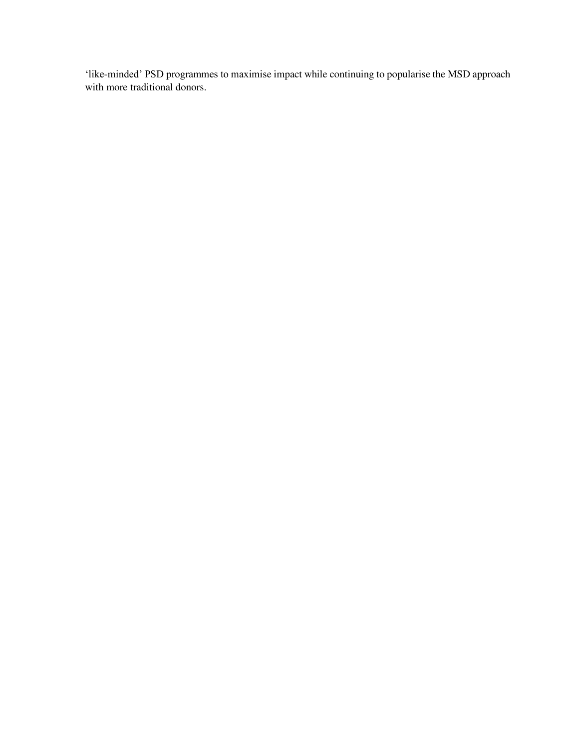'like-minded' PSD programmes to maximise impact while continuing to popularise the MSD approach with more traditional donors.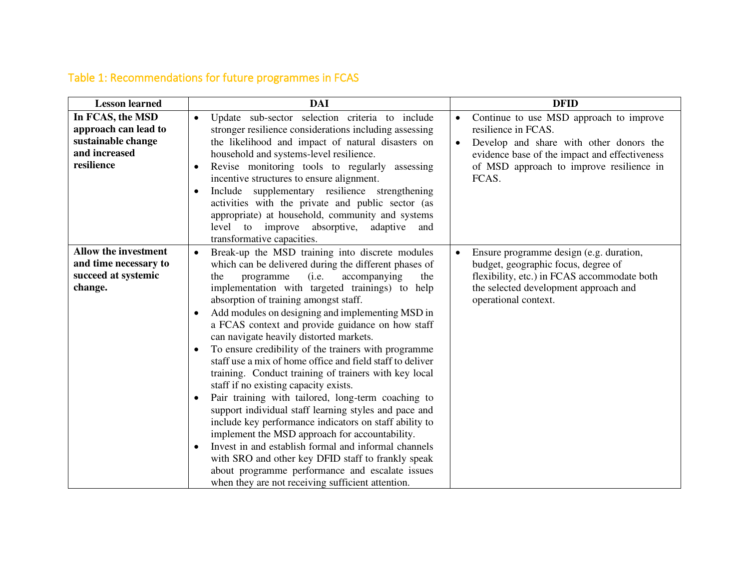# Table 1: Recommendations for future programmes in FCAS

<span id="page-4-0"></span>

| <b>Lesson</b> learned                                                                         | <b>DAI</b>                                                                                                                                                                                                                                                                                                                                                                                                                                                                                                                                                                                                                                                                                                                                                                                                                                                                                                                                                                                                                                                                                                    | <b>DFID</b>                                                                                                                                                                                                                               |
|-----------------------------------------------------------------------------------------------|---------------------------------------------------------------------------------------------------------------------------------------------------------------------------------------------------------------------------------------------------------------------------------------------------------------------------------------------------------------------------------------------------------------------------------------------------------------------------------------------------------------------------------------------------------------------------------------------------------------------------------------------------------------------------------------------------------------------------------------------------------------------------------------------------------------------------------------------------------------------------------------------------------------------------------------------------------------------------------------------------------------------------------------------------------------------------------------------------------------|-------------------------------------------------------------------------------------------------------------------------------------------------------------------------------------------------------------------------------------------|
| In FCAS, the MSD<br>approach can lead to<br>sustainable change<br>and increased<br>resilience | Update sub-sector selection criteria to include<br>$\bullet$<br>stronger resilience considerations including assessing<br>the likelihood and impact of natural disasters on<br>household and systems-level resilience.<br>Revise monitoring tools to regularly assessing<br>incentive structures to ensure alignment.<br>Include supplementary resilience strengthening<br>$\bullet$<br>activities with the private and public sector (as<br>appropriate) at household, community and systems<br>level to improve absorptive,<br>adaptive<br>and<br>transformative capacities.                                                                                                                                                                                                                                                                                                                                                                                                                                                                                                                                | Continue to use MSD approach to improve<br>$\bullet$<br>resilience in FCAS.<br>Develop and share with other donors the<br>$\bullet$<br>evidence base of the impact and effectiveness<br>of MSD approach to improve resilience in<br>FCAS. |
| <b>Allow the investment</b><br>and time necessary to<br>succeed at systemic<br>change.        | Break-up the MSD training into discrete modules<br>$\bullet$<br>which can be delivered during the different phases of<br>accompanying<br>(i.e.<br>the<br>the<br>programme<br>implementation with targeted trainings) to help<br>absorption of training amongst staff.<br>Add modules on designing and implementing MSD in<br>a FCAS context and provide guidance on how staff<br>can navigate heavily distorted markets.<br>To ensure credibility of the trainers with programme<br>staff use a mix of home office and field staff to deliver<br>training. Conduct training of trainers with key local<br>staff if no existing capacity exists.<br>Pair training with tailored, long-term coaching to<br>$\bullet$<br>support individual staff learning styles and pace and<br>include key performance indicators on staff ability to<br>implement the MSD approach for accountability.<br>Invest in and establish formal and informal channels<br>with SRO and other key DFID staff to frankly speak<br>about programme performance and escalate issues<br>when they are not receiving sufficient attention. | Ensure programme design (e.g. duration,<br>$\bullet$<br>budget, geographic focus, degree of<br>flexibility, etc.) in FCAS accommodate both<br>the selected development approach and<br>operational context.                               |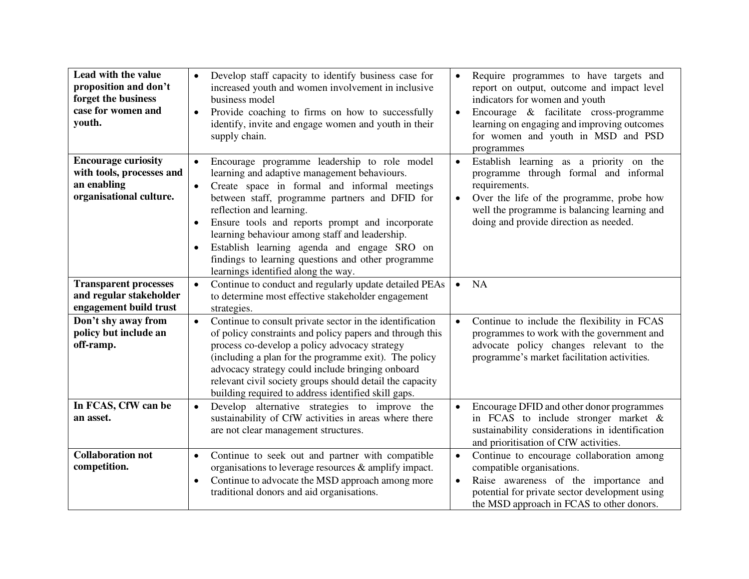| Lead with the value<br>proposition and don't<br>forget the business<br>case for women and<br>youth. | Develop staff capacity to identify business case for<br>$\bullet$<br>increased youth and women involvement in inclusive<br>business model<br>Provide coaching to firms on how to successfully<br>$\bullet$<br>identify, invite and engage women and youth in their<br>supply chain.                                                                                                                                                                                                                                             | Require programmes to have targets and<br>$\bullet$<br>report on output, outcome and impact level<br>indicators for women and youth<br>Encourage & facilitate cross-programme<br>$\bullet$<br>learning on engaging and improving outcomes<br>for women and youth in MSD and PSD<br>programmes |
|-----------------------------------------------------------------------------------------------------|---------------------------------------------------------------------------------------------------------------------------------------------------------------------------------------------------------------------------------------------------------------------------------------------------------------------------------------------------------------------------------------------------------------------------------------------------------------------------------------------------------------------------------|-----------------------------------------------------------------------------------------------------------------------------------------------------------------------------------------------------------------------------------------------------------------------------------------------|
| <b>Encourage curiosity</b><br>with tools, processes and<br>an enabling<br>organisational culture.   | Encourage programme leadership to role model<br>$\bullet$<br>learning and adaptive management behaviours.<br>Create space in formal and informal meetings<br>$\bullet$<br>between staff, programme partners and DFID for<br>reflection and learning.<br>Ensure tools and reports prompt and incorporate<br>$\bullet$<br>learning behaviour among staff and leadership.<br>Establish learning agenda and engage SRO on<br>$\bullet$<br>findings to learning questions and other programme<br>learnings identified along the way. | Establish learning as a priority on the<br>$\bullet$<br>programme through formal and informal<br>requirements.<br>Over the life of the programme, probe how<br>$\bullet$<br>well the programme is balancing learning and<br>doing and provide direction as needed.                            |
| <b>Transparent processes</b><br>and regular stakeholder<br>engagement build trust                   | Continue to conduct and regularly update detailed PEAs<br>$\bullet$<br>to determine most effective stakeholder engagement<br>strategies.                                                                                                                                                                                                                                                                                                                                                                                        | <b>NA</b><br>$\bullet$                                                                                                                                                                                                                                                                        |
| Don't shy away from<br>policy but include an<br>off-ramp.                                           | Continue to consult private sector in the identification<br>$\bullet$<br>of policy constraints and policy papers and through this<br>process co-develop a policy advocacy strategy<br>(including a plan for the programme exit). The policy<br>advocacy strategy could include bringing onboard<br>relevant civil society groups should detail the capacity<br>building required to address identified skill gaps.                                                                                                              | Continue to include the flexibility in FCAS<br>$\bullet$<br>programmes to work with the government and<br>advocate policy changes relevant to the<br>programme's market facilitation activities.                                                                                              |
| In FCAS, CfW can be<br>an asset.                                                                    | Develop alternative strategies to improve the<br>$\bullet$<br>sustainability of CfW activities in areas where there<br>are not clear management structures.                                                                                                                                                                                                                                                                                                                                                                     | Encourage DFID and other donor programmes<br>$\bullet$<br>in FCAS to include stronger market $\&$<br>sustainability considerations in identification<br>and prioritisation of CfW activities.                                                                                                 |
| <b>Collaboration not</b><br>competition.                                                            | Continue to seek out and partner with compatible<br>$\bullet$<br>organisations to leverage resources $\&$ amplify impact.<br>Continue to advocate the MSD approach among more<br>$\bullet$<br>traditional donors and aid organisations.                                                                                                                                                                                                                                                                                         | Continue to encourage collaboration among<br>$\bullet$<br>compatible organisations.<br>Raise awareness of the importance and<br>$\bullet$<br>potential for private sector development using<br>the MSD approach in FCAS to other donors.                                                      |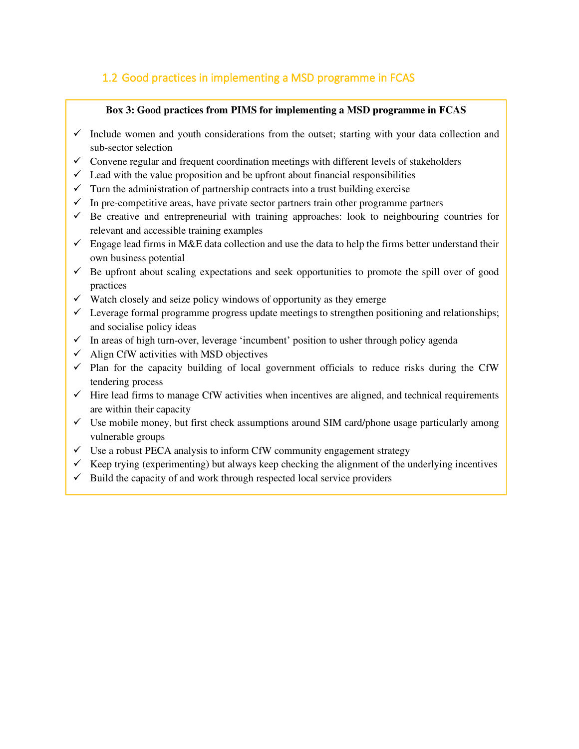## <span id="page-6-0"></span>1.2 Good practices in implementing a MSD programme in FCAS

#### **Box 3: Good practices from PIMS for implementing a MSD programme in FCAS**

- $\checkmark$  Include women and youth considerations from the outset; starting with your data collection and sub-sector selection
- $\checkmark$  Convene regular and frequent coordination meetings with different levels of stakeholders
- $\checkmark$  Lead with the value proposition and be upfront about financial responsibilities
- $\checkmark$  Turn the administration of partnership contracts into a trust building exercise
- $\checkmark$  In pre-competitive areas, have private sector partners train other programme partners
- $\checkmark$  Be creative and entrepreneurial with training approaches: look to neighbouring countries for relevant and accessible training examples
- $\checkmark$  Engage lead firms in M&E data collection and use the data to help the firms better understand their own business potential
- $\checkmark$  Be upfront about scaling expectations and seek opportunities to promote the spill over of good practices
- $\checkmark$  Watch closely and seize policy windows of opportunity as they emerge
- $\checkmark$  Leverage formal programme progress update meetings to strengthen positioning and relationships; and socialise policy ideas
- $\checkmark$  In areas of high turn-over, leverage 'incumbent' position to usher through policy agenda
- $\checkmark$  Align CfW activities with MSD objectives
- $\checkmark$  Plan for the capacity building of local government officials to reduce risks during the CfW tendering process
- $\checkmark$  Hire lead firms to manage CfW activities when incentives are aligned, and technical requirements are within their capacity
- $\checkmark$  Use mobile money, but first check assumptions around SIM card/phone usage particularly among vulnerable groups
- $\checkmark$  Use a robust PECA analysis to inform CfW community engagement strategy
- $\checkmark$  Keep trying (experimenting) but always keep checking the alignment of the underlying incentives
- $\checkmark$  Build the capacity of and work through respected local service providers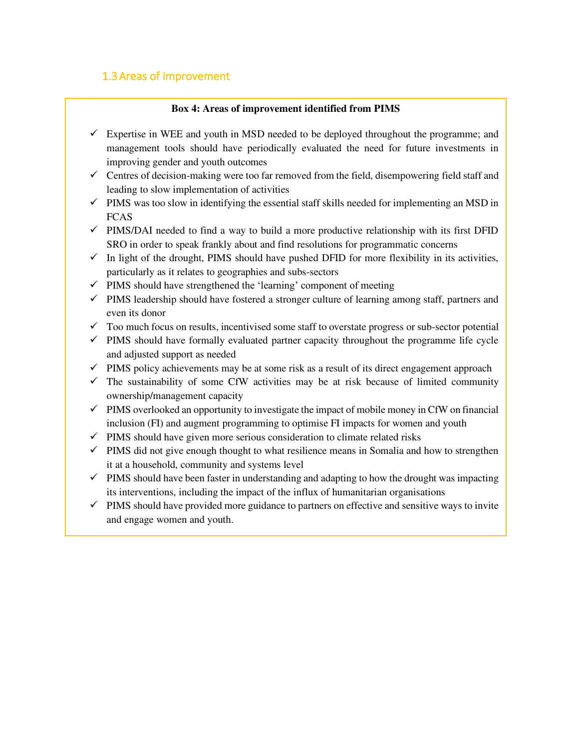## <span id="page-7-0"></span>1.3Areas of improvement

#### **Box 4: Areas of improvement identified from PIMS**

- $\checkmark$  Expertise in WEE and youth in MSD needed to be deployed throughout the programme; and management tools should have periodically evaluated the need for future investments in improving gender and youth outcomes
- $\checkmark$  Centres of decision-making were too far removed from the field, disempowering field staff and leading to slow implementation of activities
- $\checkmark$  PIMS was too slow in identifying the essential staff skills needed for implementing an MSD in FCAS
- $\checkmark$  PIMS/DAI needed to find a way to build a more productive relationship with its first DFID SRO in order to speak frankly about and find resolutions for programmatic concerns
- $\checkmark$  In light of the drought, PIMS should have pushed DFID for more flexibility in its activities, particularly as it relates to geographies and subs-sectors
- $\checkmark$  PIMS should have strengthened the 'learning' component of meeting
- $\checkmark$  PIMS leadership should have fostered a stronger culture of learning among staff, partners and even its donor
- $\checkmark$  Too much focus on results, incentivised some staff to overstate progress or sub-sector potential
- $\checkmark$  PIMS should have formally evaluated partner capacity throughout the programme life cycle and adjusted support as needed
- $\checkmark$  PIMS policy achievements may be at some risk as a result of its direct engagement approach
- $\checkmark$  The sustainability of some CfW activities may be at risk because of limited community ownership/management capacity
- $\checkmark$  PIMS overlooked an opportunity to investigate the impact of mobile money in CfW on financial inclusion (FI) and augment programming to optimise FI impacts for women and youth
- $\checkmark$  PIMS should have given more serious consideration to climate related risks
- $\checkmark$  PIMS did not give enough thought to what resilience means in Somalia and how to strengthen it at a household, community and systems level
- $\checkmark$  PIMS should have been faster in understanding and adapting to how the drought was impacting its interventions, including the impact of the influx of humanitarian organisations
- $\checkmark$  PIMS should have provided more guidance to partners on effective and sensitive ways to invite and engage women and youth.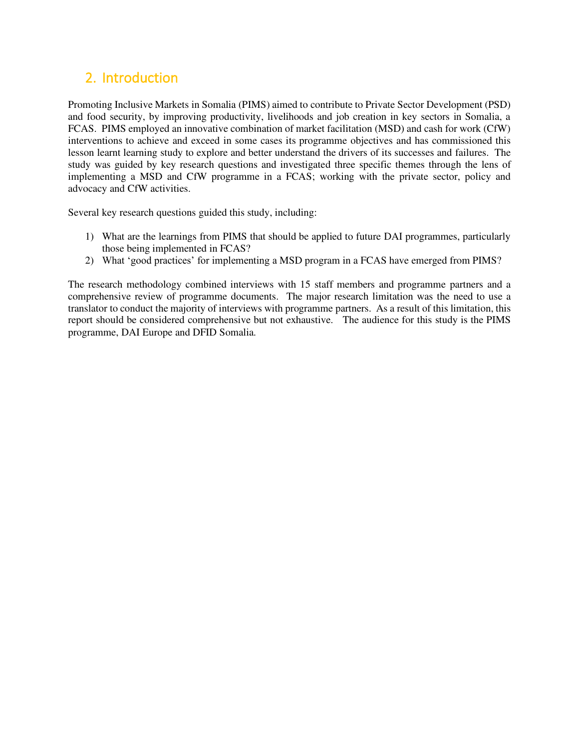## <span id="page-8-0"></span>2. Introduction

Promoting Inclusive Markets in Somalia (PIMS) aimed to contribute to Private Sector Development (PSD) and food security, by improving productivity, livelihoods and job creation in key sectors in Somalia, a FCAS. PIMS employed an innovative combination of market facilitation (MSD) and cash for work (CfW) interventions to achieve and exceed in some cases its programme objectives and has commissioned this lesson learnt learning study to explore and better understand the drivers of its successes and failures. The study was guided by key research questions and investigated three specific themes through the lens of implementing a MSD and CfW programme in a FCAS; working with the private sector, policy and advocacy and CfW activities.

Several key research questions guided this study, including:

- 1) What are the learnings from PIMS that should be applied to future DAI programmes, particularly those being implemented in FCAS?
- 2) What 'good practices' for implementing a MSD program in a FCAS have emerged from PIMS?

The research methodology combined interviews with 15 staff members and programme partners and a comprehensive review of programme documents. The major research limitation was the need to use a translator to conduct the majority of interviews with programme partners. As a result of this limitation, this report should be considered comprehensive but not exhaustive. The audience for this study is the PIMS programme, DAI Europe and DFID Somalia.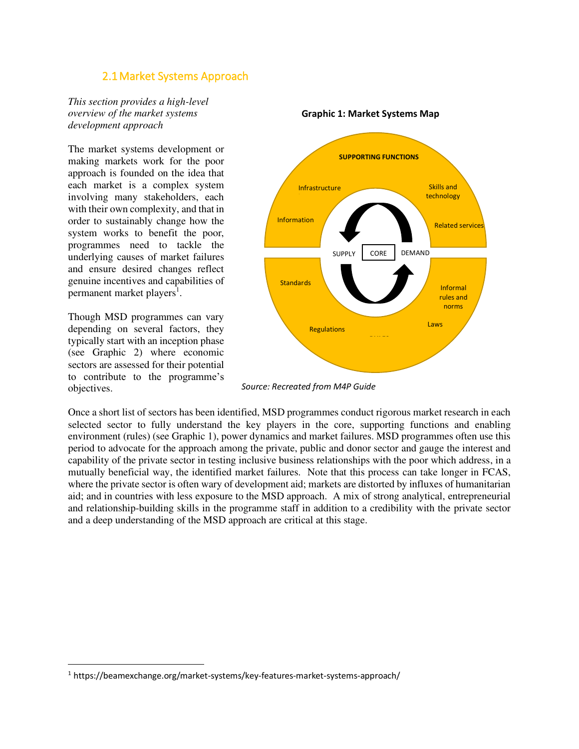#### 2.1Market Systems Approach

<span id="page-9-0"></span>*This section provides a high-level overview of the market systems development approach* 

The market systems development or making markets work for the poor approach is founded on the idea that each market is a complex system involving many stakeholders, each with their own complexity, and that in order to sustainably change how the system works to benefit the poor, programmes need to tackle the underlying causes of market failures and ensure desired changes reflect genuine incentives and capabilities of permanent market players<sup>1</sup>.

Though MSD programmes can vary depending on several factors, they typically start with an inception phase (see Graphic 2) where economic sectors are assessed for their potential to contribute to the programme's objectives.



#### **Graphic 1: Market Systems Map**

*Source: Recreated from M4P Guide* 

Once a short list of sectors has been identified, MSD programmes conduct rigorous market research in each selected sector to fully understand the key players in the core, supporting functions and enabling environment (rules) (see Graphic 1), power dynamics and market failures. MSD programmes often use this period to advocate for the approach among the private, public and donor sector and gauge the interest and capability of the private sector in testing inclusive business relationships with the poor which address, in a mutually beneficial way, the identified market failures. Note that this process can take longer in FCAS, where the private sector is often wary of development aid; markets are distorted by influxes of humanitarian aid; and in countries with less exposure to the MSD approach. A mix of strong analytical, entrepreneurial and relationship-building skills in the programme staff in addition to a credibility with the private sector and a deep understanding of the MSD approach are critical at this stage.

<sup>&</sup>lt;sup>1</sup> https://beamexchange.org/market-systems/key-features-market-systems-approach/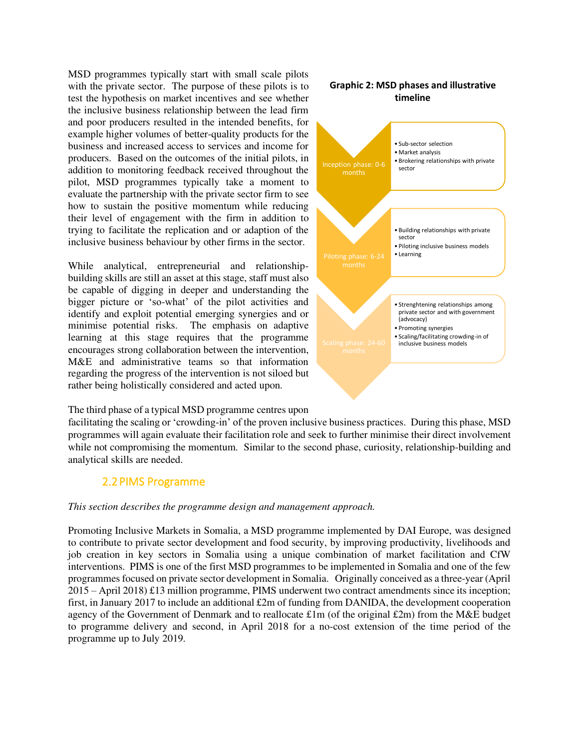MSD programmes typically start with small scale pilots with the private sector. The purpose of these pilots is to test the hypothesis on market incentives and see whether the inclusive business relationship between the lead firm and poor producers resulted in the intended benefits, for example higher volumes of better-quality products for the business and increased access to services and income for producers. Based on the outcomes of the initial pilots, in addition to monitoring feedback received throughout the pilot, MSD programmes typically take a moment to evaluate the partnership with the private sector firm to see how to sustain the positive momentum while reducing their level of engagement with the firm in addition to trying to facilitate the replication and or adaption of the inclusive business behaviour by other firms in the sector.

While analytical, entrepreneurial and relationshipbuilding skills are still an asset at this stage, staff must also be capable of digging in deeper and understanding the bigger picture or 'so-what' of the pilot activities and identify and exploit potential emerging synergies and or minimise potential risks. The emphasis on adaptive learning at this stage requires that the programme encourages strong collaboration between the intervention, M&E and administrative teams so that information regarding the progress of the intervention is not siloed but rather being holistically considered and acted upon.

#### **Graphic 2: MSD phases and illustrative timeline**



The third phase of a typical MSD programme centres upon

facilitating the scaling or 'crowding-in' of the proven inclusive business practices. During this phase, MSD programmes will again evaluate their facilitation role and seek to further minimise their direct involvement while not compromising the momentum. Similar to the second phase, curiosity, relationship-building and analytical skills are needed.

#### 2.2PIMS Programme

#### <span id="page-10-0"></span>*This section describes the programme design and management approach.*

Promoting Inclusive Markets in Somalia, a MSD programme implemented by DAI Europe, was designed to contribute to private sector development and food security, by improving productivity, livelihoods and job creation in key sectors in Somalia using a unique combination of market facilitation and CfW interventions. PIMS is one of the first MSD programmes to be implemented in Somalia and one of the few programmes focused on private sector development in Somalia. Originally conceived as a three-year (April  $2015 -$  April 2018) £13 million programme, PIMS underwent two contract amendments since its inception; first, in January 2017 to include an additional  $\pounds 2m$  of funding from DANIDA, the development cooperation agency of the Government of Denmark and to reallocate  $\pounds 1m$  (of the original  $\pounds 2m$ ) from the M&E budget to programme delivery and second, in April 2018 for a no-cost extension of the time period of the programme up to July 2019.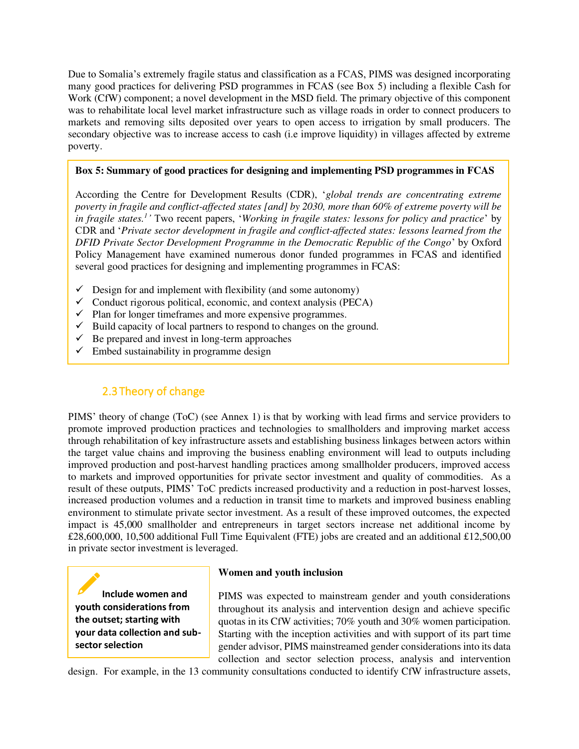Due to Somalia's extremely fragile status and classification as a FCAS, PIMS was designed incorporating many good practices for delivering PSD programmes in FCAS (see Box 5) including a flexible Cash for Work (CfW) component; a novel development in the MSD field. The primary objective of this component was to rehabilitate local level market infrastructure such as village roads in order to connect producers to markets and removing silts deposited over years to open access to irrigation by small producers. The secondary objective was to increase access to cash (i.e improve liquidity) in villages affected by extreme poverty.

#### **Box 5: Summary of good practices for designing and implementing PSD programmes in FCAS**

According the Centre for Development Results (CDR), '*global trends are concentrating extreme poverty in fragile and conflict-affected states [and] by 2030, more than 60% of extreme poverty will be in fragile states.<sup>1</sup> '* Two recent papers, '*Working in fragile states: lessons for policy and practice*' by CDR and '*Private sector development in fragile and conflict-affected states: lessons learned from the DFID Private Sector Development Programme in the Democratic Republic of the Congo*' by Oxford Policy Management have examined numerous donor funded programmes in FCAS and identified several good practices for designing and implementing programmes in FCAS:

- $\checkmark$  Design for and implement with flexibility (and some autonomy)
- $\checkmark$  Conduct rigorous political, economic, and context analysis (PECA)
- $\checkmark$  Plan for longer timeframes and more expensive programmes.
- $\checkmark$  Build capacity of local partners to respond to changes on the ground.
- $\checkmark$  Be prepared and invest in long-term approaches
- $\checkmark$  Embed sustainability in programme design

## 2.3Theory of change

<span id="page-11-0"></span>PIMS' theory of change (ToC) (see Annex 1) is that by working with lead firms and service providers to promote improved production practices and technologies to smallholders and improving market access through rehabilitation of key infrastructure assets and establishing business linkages between actors within the target value chains and improving the business enabling environment will lead to outputs including improved production and post-harvest handling practices among smallholder producers, improved access to markets and improved opportunities for private sector investment and quality of commodities. As a result of these outputs, PIMS' ToC predicts increased productivity and a reduction in post-harvest losses, increased production volumes and a reduction in transit time to markets and improved business enabling environment to stimulate private sector investment. As a result of these improved outcomes, the expected impact is 45,000 smallholder and entrepreneurs in target sectors increase net additional income by £28,600,000, 10,500 additional Full Time Equivalent (FTE) jobs are created and an additional £12,500,00 in private sector investment is leveraged.

**Include women and youth considerations from the outset; starting with your data collection and subsector selection** 

#### **Women and youth inclusion**

PIMS was expected to mainstream gender and youth considerations throughout its analysis and intervention design and achieve specific quotas in its CfW activities; 70% youth and 30% women participation. Starting with the inception activities and with support of its part time gender advisor, PIMS mainstreamed gender considerations into its data collection and sector selection process, analysis and intervention

design. For example, in the 13 community consultations conducted to identify CfW infrastructure assets,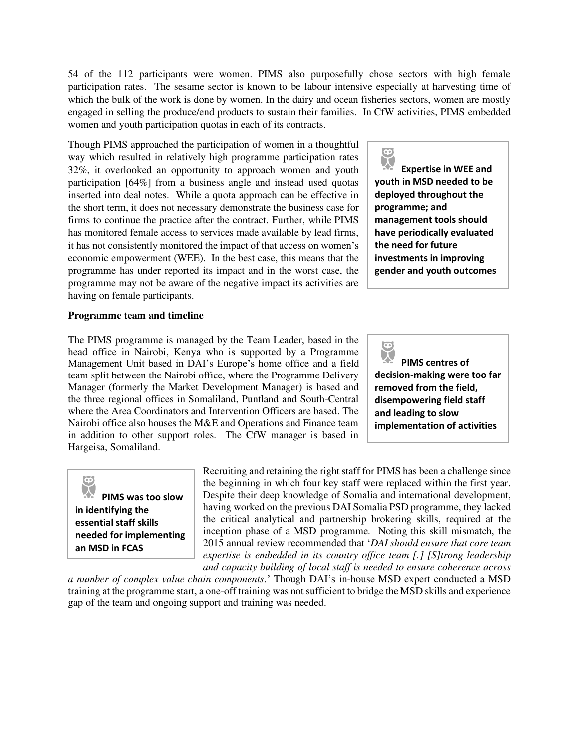54 of the 112 participants were women. PIMS also purposefully chose sectors with high female participation rates. The sesame sector is known to be labour intensive especially at harvesting time of which the bulk of the work is done by women. In the dairy and ocean fisheries sectors, women are mostly engaged in selling the produce/end products to sustain their families. In CfW activities, PIMS embedded women and youth participation quotas in each of its contracts.

Though PIMS approached the participation of women in a thoughtful way which resulted in relatively high programme participation rates 32%, it overlooked an opportunity to approach women and youth participation [64%] from a business angle and instead used quotas inserted into deal notes. While a quota approach can be effective in the short term, it does not necessary demonstrate the business case for firms to continue the practice after the contract. Further, while PIMS has monitored female access to services made available by lead firms, it has not consistently monitored the impact of that access on women's economic empowerment (WEE). In the best case, this means that the programme has under reported its impact and in the worst case, the programme may not be aware of the negative impact its activities are having on female participants.

#### **Programme team and timeline**

The PIMS programme is managed by the Team Leader, based in the head office in Nairobi, Kenya who is supported by a Programme Management Unit based in DAI's Europe's home office and a field team split between the Nairobi office, where the Programme Delivery Manager (formerly the Market Development Manager) is based and the three regional offices in Somaliland, Puntland and South-Central where the Area Coordinators and Intervention Officers are based. The Nairobi office also houses the M&E and Operations and Finance team in addition to other support roles. The CfW manager is based in Hargeisa, Somaliland.

**X Expertise in WEE and youth in MSD needed to be deployed throughout the programme; and management tools should have periodically evaluated the need for future investments in improving gender and youth outcomes** 

 $\bullet$ 

 $\overline{\mathbf{\Theta}}$ **PIMS centres of decision-making were too far removed from the field, disempowering field staff and leading to slow implementation of activities** 

**PIMS was too slow in identifying the essential staff skills needed for implementing an MSD in FCAS** 

Recruiting and retaining the right staff for PIMS has been a challenge since the beginning in which four key staff were replaced within the first year. Despite their deep knowledge of Somalia and international development, having worked on the previous DAI Somalia PSD programme, they lacked the critical analytical and partnership brokering skills, required at the inception phase of a MSD programme. Noting this skill mismatch, the 2015 annual review recommended that '*DAI should ensure that core team expertise is embedded in its country office team [.] [S]trong leadership and capacity building of local staff is needed to ensure coherence across* 

*a number of complex value chain components*.' Though DAI's in-house MSD expert conducted a MSD training at the programme start, a one-off training was not sufficient to bridge the MSD skills and experience gap of the team and ongoing support and training was needed.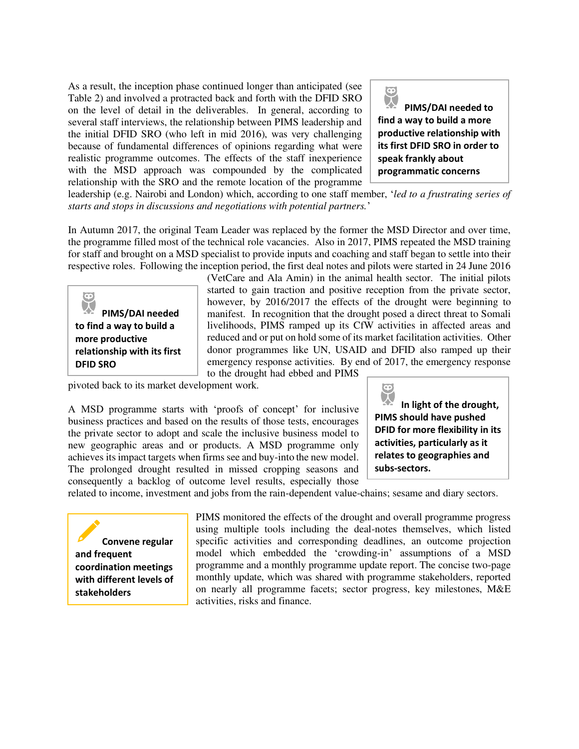As a result, the inception phase continued longer than anticipated (see Table 2) and involved a protracted back and forth with the DFID SRO on the level of detail in the deliverables. In general, according to several staff interviews, the relationship between PIMS leadership and the initial DFID SRO (who left in mid 2016), was very challenging because of fundamental differences of opinions regarding what were realistic programme outcomes. The effects of the staff inexperience with the MSD approach was compounded by the complicated relationship with the SRO and the remote location of the programme



leadership (e.g. Nairobi and London) which, according to one staff member, '*led to a frustrating series of starts and stops in discussions and negotiations with potential partners.*'

In Autumn 2017, the original Team Leader was replaced by the former the MSD Director and over time, the programme filled most of the technical role vacancies. Also in 2017, PIMS repeated the MSD training for staff and brought on a MSD specialist to provide inputs and coaching and staff began to settle into their respective roles. Following the inception period, the first deal notes and pilots were started in 24 June 2016



(VetCare and Ala Amin) in the animal health sector. The initial pilots started to gain traction and positive reception from the private sector, however, by 2016/2017 the effects of the drought were beginning to manifest. In recognition that the drought posed a direct threat to Somali livelihoods, PIMS ramped up its CfW activities in affected areas and reduced and or put on hold some of its market facilitation activities. Other donor programmes like UN, USAID and DFID also ramped up their emergency response activities. By end of 2017, the emergency response to the drought had ebbed and PIMS

pivoted back to its market development work.

A MSD programme starts with 'proofs of concept' for inclusive business practices and based on the results of those tests, encourages the private sector to adopt and scale the inclusive business model to new geographic areas and or products. A MSD programme only achieves its impact targets when firms see and buy-into the new model. The prolonged drought resulted in missed cropping seasons and consequently a backlog of outcome level results, especially those  $\bullet$ 

**In light of the drought, PIMS should have pushed DFID for more flexibility in its activities, particularly as it relates to geographies and subs-sectors.** 

related to income, investment and jobs from the rain-dependent value-chains; sesame and diary sectors.

**Convene regular and frequent coordination meetings with different levels of stakeholders** 

PIMS monitored the effects of the drought and overall programme progress using multiple tools including the deal-notes themselves, which listed specific activities and corresponding deadlines, an outcome projection model which embedded the 'crowding-in' assumptions of a MSD programme and a monthly programme update report. The concise two-page monthly update, which was shared with programme stakeholders, reported on nearly all programme facets; sector progress, key milestones, M&E activities, risks and finance.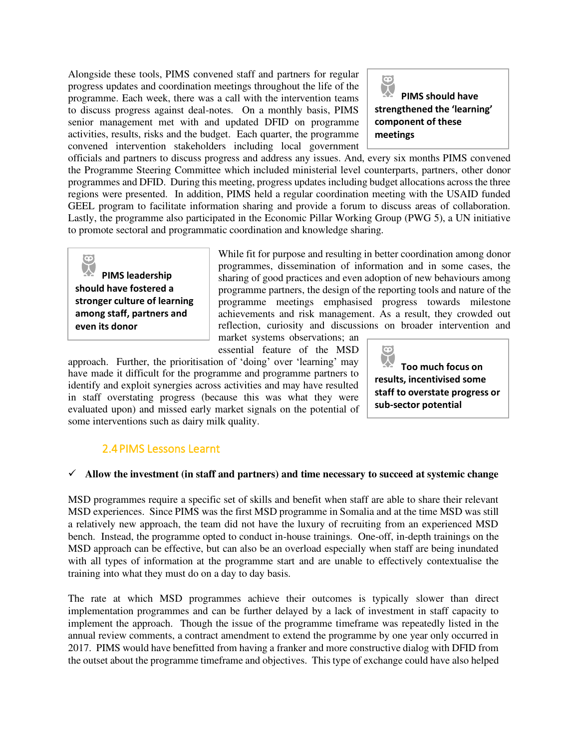Alongside these tools, PIMS convened staff and partners for regular progress updates and coordination meetings throughout the life of the programme. Each week, there was a call with the intervention teams to discuss progress against deal-notes. On a monthly basis, PIMS senior management met with and updated DFID on programme activities, results, risks and the budget. Each quarter, the programme convened intervention stakeholders including local government



officials and partners to discuss progress and address any issues. And, every six months PIMS convened the Programme Steering Committee which included ministerial level counterparts, partners, other donor programmes and DFID. During this meeting, progress updates including budget allocations across the three regions were presented. In addition, PIMS held a regular coordination meeting with the USAID funded GEEL program to facilitate information sharing and provide a forum to discuss areas of collaboration. Lastly, the programme also participated in the Economic Pillar Working Group (PWG 5), a UN initiative to promote sectoral and programmatic coordination and knowledge sharing.

**PIMS leadership should have fostered a stronger culture of learning among staff, partners and even its donor** 

While fit for purpose and resulting in better coordination among donor programmes, dissemination of information and in some cases, the sharing of good practices and even adoption of new behaviours among programme partners, the design of the reporting tools and nature of the programme meetings emphasised progress towards milestone achievements and risk management. As a result, they crowded out reflection, curiosity and discussions on broader intervention and market systems observations; an

essential feature of the MSD

approach. Further, the prioritisation of 'doing' over 'learning' may have made it difficult for the programme and programme partners to identify and exploit synergies across activities and may have resulted in staff overstating progress (because this was what they were evaluated upon) and missed early market signals on the potential of some interventions such as dairy milk quality.

 $\bullet$ **Too much focus on results, incentivised some staff to overstate progress or sub-sector potential** 

## 2.4PIMS Lessons Learnt

#### <span id="page-14-0"></span>✓ **Allow the investment (in staff and partners) and time necessary to succeed at systemic change**

MSD programmes require a specific set of skills and benefit when staff are able to share their relevant MSD experiences. Since PIMS was the first MSD programme in Somalia and at the time MSD was still a relatively new approach, the team did not have the luxury of recruiting from an experienced MSD bench. Instead, the programme opted to conduct in-house trainings. One-off, in-depth trainings on the MSD approach can be effective, but can also be an overload especially when staff are being inundated with all types of information at the programme start and are unable to effectively contextualise the training into what they must do on a day to day basis.

The rate at which MSD programmes achieve their outcomes is typically slower than direct implementation programmes and can be further delayed by a lack of investment in staff capacity to implement the approach. Though the issue of the programme timeframe was repeatedly listed in the annual review comments, a contract amendment to extend the programme by one year only occurred in 2017. PIMS would have benefitted from having a franker and more constructive dialog with DFID from the outset about the programme timeframe and objectives. This type of exchange could have also helped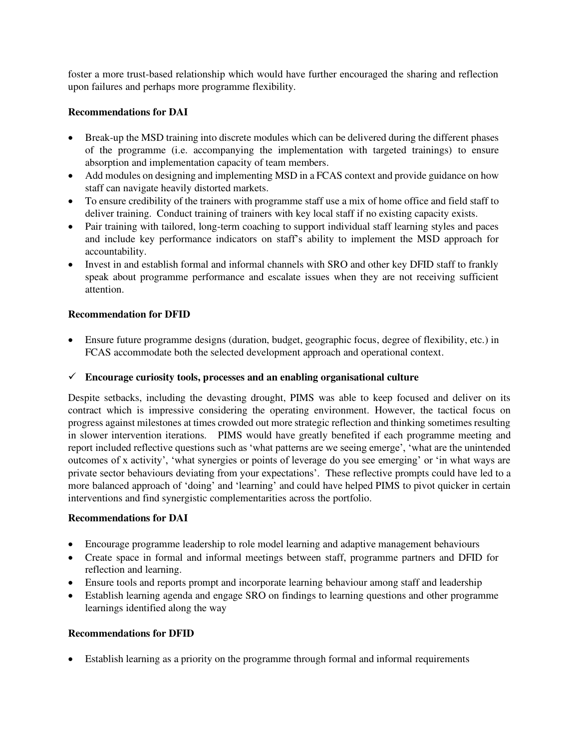foster a more trust-based relationship which would have further encouraged the sharing and reflection upon failures and perhaps more programme flexibility.

#### **Recommendations for DAI**

- Break-up the MSD training into discrete modules which can be delivered during the different phases of the programme (i.e. accompanying the implementation with targeted trainings) to ensure absorption and implementation capacity of team members.
- Add modules on designing and implementing MSD in a FCAS context and provide guidance on how staff can navigate heavily distorted markets.
- To ensure credibility of the trainers with programme staff use a mix of home office and field staff to deliver training. Conduct training of trainers with key local staff if no existing capacity exists.
- Pair training with tailored, long-term coaching to support individual staff learning styles and paces and include key performance indicators on staff's ability to implement the MSD approach for accountability.
- Invest in and establish formal and informal channels with SRO and other key DFID staff to frankly speak about programme performance and escalate issues when they are not receiving sufficient attention.

#### **Recommendation for DFID**

• Ensure future programme designs (duration, budget, geographic focus, degree of flexibility, etc.) in FCAS accommodate both the selected development approach and operational context.

#### ✓ **Encourage curiosity tools, processes and an enabling organisational culture**

Despite setbacks, including the devasting drought, PIMS was able to keep focused and deliver on its contract which is impressive considering the operating environment. However, the tactical focus on progress against milestones at times crowded out more strategic reflection and thinking sometimes resulting in slower intervention iterations. PIMS would have greatly benefited if each programme meeting and report included reflective questions such as 'what patterns are we seeing emerge', 'what are the unintended outcomes of x activity', 'what synergies or points of leverage do you see emerging' or 'in what ways are private sector behaviours deviating from your expectations'. These reflective prompts could have led to a more balanced approach of 'doing' and 'learning' and could have helped PIMS to pivot quicker in certain interventions and find synergistic complementarities across the portfolio.

#### **Recommendations for DAI**

- Encourage programme leadership to role model learning and adaptive management behaviours
- Create space in formal and informal meetings between staff, programme partners and DFID for reflection and learning.
- Ensure tools and reports prompt and incorporate learning behaviour among staff and leadership
- Establish learning agenda and engage SRO on findings to learning questions and other programme learnings identified along the way

#### **Recommendations for DFID**

• Establish learning as a priority on the programme through formal and informal requirements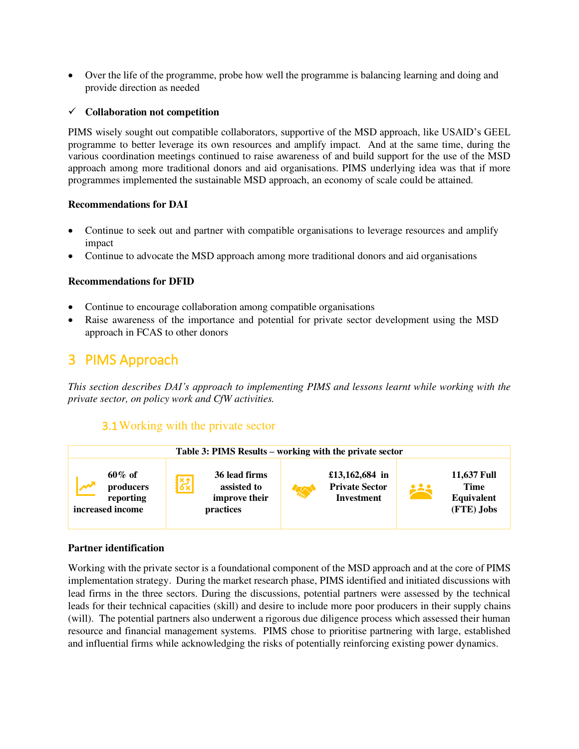• Over the life of the programme, probe how well the programme is balancing learning and doing and provide direction as needed

#### ✓ **Collaboration not competition**

PIMS wisely sought out compatible collaborators, supportive of the MSD approach, like USAID's GEEL programme to better leverage its own resources and amplify impact. And at the same time, during the various coordination meetings continued to raise awareness of and build support for the use of the MSD approach among more traditional donors and aid organisations. PIMS underlying idea was that if more programmes implemented the sustainable MSD approach, an economy of scale could be attained.

#### **Recommendations for DAI**

- Continue to seek out and partner with compatible organisations to leverage resources and amplify impact
- Continue to advocate the MSD approach among more traditional donors and aid organisations

#### **Recommendations for DFID**

- Continue to encourage collaboration among compatible organisations
- Raise awareness of the importance and potential for private sector development using the MSD approach in FCAS to other donors

## <span id="page-16-0"></span>3 PIMS Approach

*This section describes DAI's approach to implementing PIMS and lessons learnt while working with the private sector, on policy work and CfW activities.* 

### 3.1Working with the private sector

<span id="page-16-1"></span>

#### **Partner identification**

Working with the private sector is a foundational component of the MSD approach and at the core of PIMS implementation strategy. During the market research phase, PIMS identified and initiated discussions with lead firms in the three sectors. During the discussions, potential partners were assessed by the technical leads for their technical capacities (skill) and desire to include more poor producers in their supply chains (will). The potential partners also underwent a rigorous due diligence process which assessed their human resource and financial management systems. PIMS chose to prioritise partnering with large, established and influential firms while acknowledging the risks of potentially reinforcing existing power dynamics.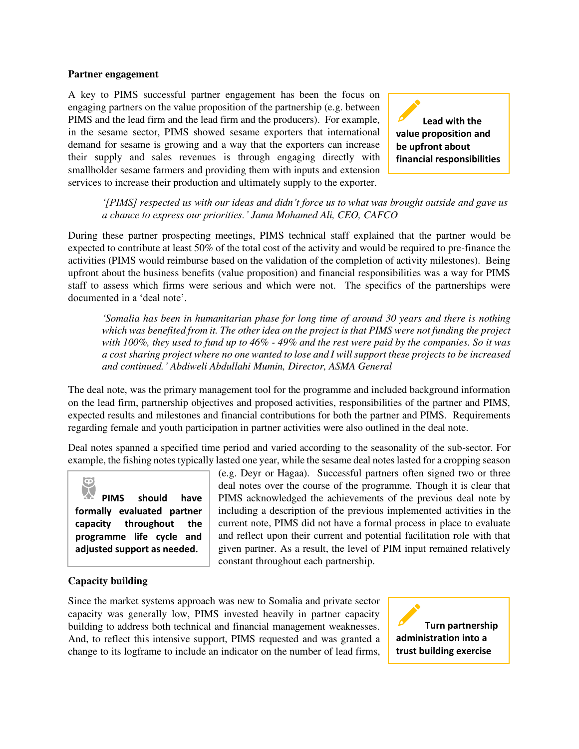#### **Partner engagement**

A key to PIMS successful partner engagement has been the focus on engaging partners on the value proposition of the partnership (e.g. between PIMS and the lead firm and the lead firm and the producers). For example, in the sesame sector, PIMS showed sesame exporters that international demand for sesame is growing and a way that the exporters can increase their supply and sales revenues is through engaging directly with smallholder sesame farmers and providing them with inputs and extension services to increase their production and ultimately supply to the exporter.

**Lead with the value proposition and be upfront about financial responsibilities** 

*'[PIMS] respected us with our ideas and didn't force us to what was brought outside and gave us a chance to express our priorities.' Jama Mohamed Ali, CEO, CAFCO* 

During these partner prospecting meetings, PIMS technical staff explained that the partner would be expected to contribute at least 50% of the total cost of the activity and would be required to pre-finance the activities (PIMS would reimburse based on the validation of the completion of activity milestones). Being upfront about the business benefits (value proposition) and financial responsibilities was a way for PIMS staff to assess which firms were serious and which were not. The specifics of the partnerships were documented in a 'deal note'.

*'Somalia has been in humanitarian phase for long time of around 30 years and there is nothing which was benefited from it. The other idea on the project is that PIMS were not funding the project with 100%, they used to fund up to 46% - 49% and the rest were paid by the companies. So it was a cost sharing project where no one wanted to lose and I will support these projects to be increased and continued.' Abdiweli Abdullahi Mumin, Director, ASMA General*

The deal note, was the primary management tool for the programme and included background information on the lead firm, partnership objectives and proposed activities, responsibilities of the partner and PIMS, expected results and milestones and financial contributions for both the partner and PIMS. Requirements regarding female and youth participation in partner activities were also outlined in the deal note.

Deal notes spanned a specified time period and varied according to the seasonality of the sub-sector. For example, the fishing notes typically lasted one year, while the sesame deal notes lasted for a cropping season

**PIMS should have formally evaluated partner capacity throughout the programme life cycle and adjusted support as needed.** 

(e.g. Deyr or Hagaa). Successful partners often signed two or three deal notes over the course of the programme. Though it is clear that PIMS acknowledged the achievements of the previous deal note by including a description of the previous implemented activities in the current note, PIMS did not have a formal process in place to evaluate and reflect upon their current and potential facilitation role with that given partner. As a result, the level of PIM input remained relatively constant throughout each partnership.

#### **Capacity building**

Since the market systems approach was new to Somalia and private sector capacity was generally low, PIMS invested heavily in partner capacity building to address both technical and financial management weaknesses. And, to reflect this intensive support, PIMS requested and was granted a change to its logframe to include an indicator on the number of lead firms,

 **Turn partnership administration into a trust building exercise**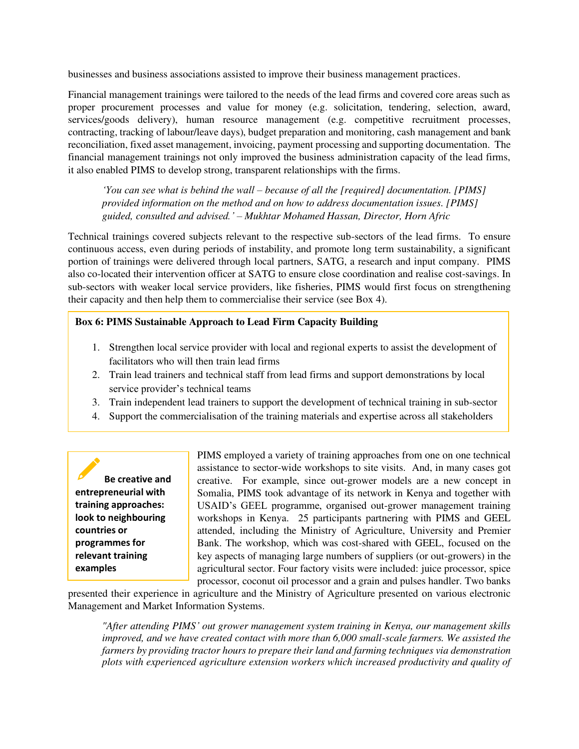businesses and business associations assisted to improve their business management practices.

Financial management trainings were tailored to the needs of the lead firms and covered core areas such as proper procurement processes and value for money (e.g. solicitation, tendering, selection, award, services/goods delivery), human resource management (e.g. competitive recruitment processes, contracting, tracking of labour/leave days), budget preparation and monitoring, cash management and bank reconciliation, fixed asset management, invoicing, payment processing and supporting documentation. The financial management trainings not only improved the business administration capacity of the lead firms, it also enabled PIMS to develop strong, transparent relationships with the firms.

*'You can see what is behind the wall – because of all the [required] documentation. [PIMS] provided information on the method and on how to address documentation issues. [PIMS] guided, consulted and advised.' – Mukhtar Mohamed Hassan, Director, Horn Afric* 

Technical trainings covered subjects relevant to the respective sub-sectors of the lead firms. To ensure continuous access, even during periods of instability, and promote long term sustainability, a significant portion of trainings were delivered through local partners, SATG, a research and input company. PIMS also co-located their intervention officer at SATG to ensure close coordination and realise cost-savings. In sub-sectors with weaker local service providers, like fisheries, PIMS would first focus on strengthening their capacity and then help them to commercialise their service (see Box 4).

#### **Box 6: PIMS Sustainable Approach to Lead Firm Capacity Building**

- 1. Strengthen local service provider with local and regional experts to assist the development of facilitators who will then train lead firms
- 2. Train lead trainers and technical staff from lead firms and support demonstrations by local service provider's technical teams
- 3. Train independent lead trainers to support the development of technical training in sub-sector
- 4. Support the commercialisation of the training materials and expertise across all stakeholders

 **Be creative and entrepreneurial with training approaches: look to neighbouring countries or programmes for relevant training examples** 

PIMS employed a variety of training approaches from one on one technical assistance to sector-wide workshops to site visits. And, in many cases got creative. For example, since out-grower models are a new concept in Somalia, PIMS took advantage of its network in Kenya and together with USAID's GEEL programme, organised out-grower management training workshops in Kenya. 25 participants partnering with PIMS and GEEL attended, including the Ministry of Agriculture, University and Premier Bank. The workshop, which was cost-shared with GEEL, focused on the key aspects of managing large numbers of suppliers (or out-growers) in the agricultural sector. Four factory visits were included: juice processor, spice processor, coconut oil processor and a grain and pulses handler. Two banks

presented their experience in agriculture and the Ministry of Agriculture presented on various electronic Management and Market Information Systems.

*"After attending PIMS' out grower management system training in Kenya, our management skills improved, and we have created contact with more than 6,000 small-scale farmers. We assisted the farmers by providing tractor hours to prepare their land and farming techniques via demonstration plots with experienced agriculture extension workers which increased productivity and quality of*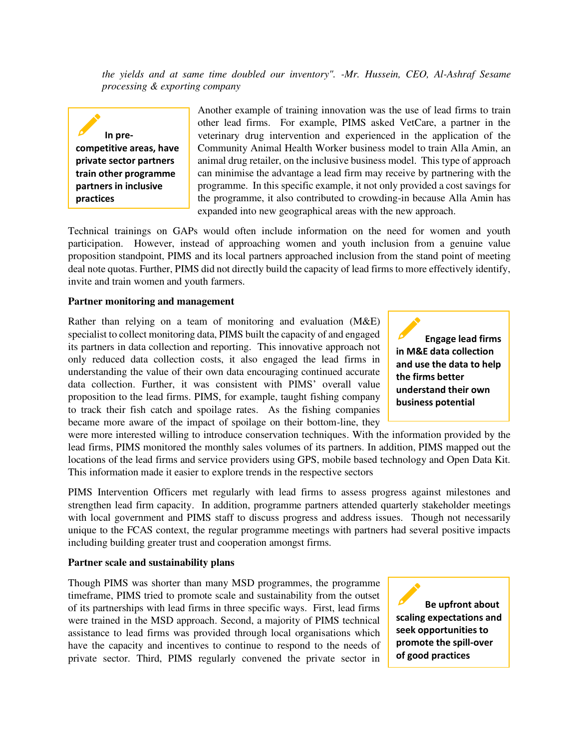*the yields and at same time doubled our inventory". -Mr. Hussein, CEO, Al-Ashraf Sesame processing & exporting company* 

 **In precompetitive areas, have private sector partners train other programme partners in inclusive practices** 

Another example of training innovation was the use of lead firms to train other lead firms. For example, PIMS asked VetCare, a partner in the veterinary drug intervention and experienced in the application of the Community Animal Health Worker business model to train Alla Amin, an animal drug retailer, on the inclusive business model. This type of approach can minimise the advantage a lead firm may receive by partnering with the programme. In this specific example, it not only provided a cost savings for the programme, it also contributed to crowding-in because Alla Amin has expanded into new geographical areas with the new approach.

Technical trainings on GAPs would often include information on the need for women and youth participation. However, instead of approaching women and youth inclusion from a genuine value proposition standpoint, PIMS and its local partners approached inclusion from the stand point of meeting deal note quotas. Further, PIMS did not directly build the capacity of lead firms to more effectively identify, invite and train women and youth farmers.

#### **Partner monitoring and management**

Rather than relying on a team of monitoring and evaluation (M&E) specialist to collect monitoring data, PIMS built the capacity of and engaged its partners in data collection and reporting. This innovative approach not only reduced data collection costs, it also engaged the lead firms in understanding the value of their own data encouraging continued accurate data collection. Further, it was consistent with PIMS' overall value proposition to the lead firms. PIMS, for example, taught fishing company to track their fish catch and spoilage rates. As the fishing companies became more aware of the impact of spoilage on their bottom-line, they

were more interested willing to introduce conservation techniques. With the information provided by the lead firms, PIMS monitored the monthly sales volumes of its partners. In addition, PIMS mapped out the locations of the lead firms and service providers using GPS, mobile based technology and Open Data Kit. This information made it easier to explore trends in the respective sectors

PIMS Intervention Officers met regularly with lead firms to assess progress against milestones and strengthen lead firm capacity. In addition, programme partners attended quarterly stakeholder meetings with local government and PIMS staff to discuss progress and address issues. Though not necessarily unique to the FCAS context, the regular programme meetings with partners had several positive impacts including building greater trust and cooperation amongst firms.

#### **Partner scale and sustainability plans**

Though PIMS was shorter than many MSD programmes, the programme timeframe, PIMS tried to promote scale and sustainability from the outset of its partnerships with lead firms in three specific ways. First, lead firms were trained in the MSD approach. Second, a majority of PIMS technical assistance to lead firms was provided through local organisations which have the capacity and incentives to continue to respond to the needs of private sector. Third, PIMS regularly convened the private sector in

 **Be upfront about scaling expectations and seek opportunities to promote the spill-over of good practices** 

 **Engage lead firms in M&E data collection and use the data to help the firms better understand their own business potential**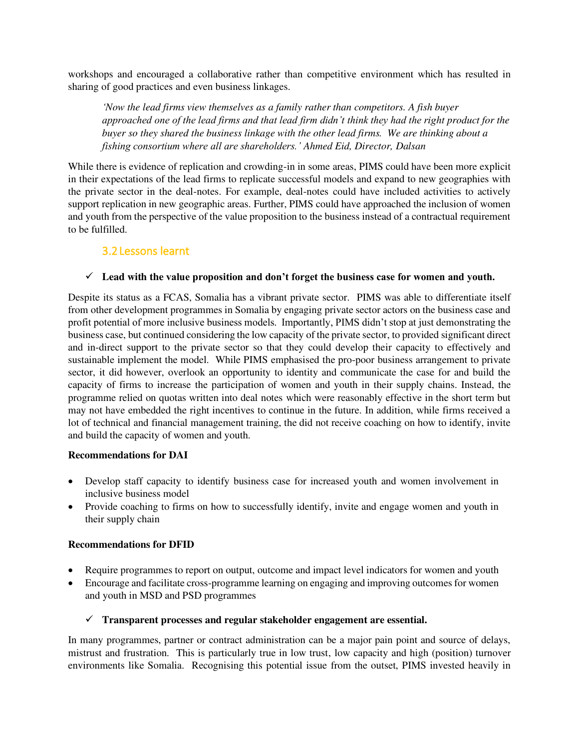workshops and encouraged a collaborative rather than competitive environment which has resulted in sharing of good practices and even business linkages.

*'Now the lead firms view themselves as a family rather than competitors. A fish buyer approached one of the lead firms and that lead firm didn't think they had the right product for the buyer so they shared the business linkage with the other lead firms. We are thinking about a fishing consortium where all are shareholders.' Ahmed Eid, Director, Dalsan* 

While there is evidence of replication and crowding-in in some areas, PIMS could have been more explicit in their expectations of the lead firms to replicate successful models and expand to new geographies with the private sector in the deal-notes. For example, deal-notes could have included activities to actively support replication in new geographic areas. Further, PIMS could have approached the inclusion of women and youth from the perspective of the value proposition to the business instead of a contractual requirement to be fulfilled.

### 3.2Lessons learnt

#### <span id="page-20-0"></span>✓ **Lead with the value proposition and don't forget the business case for women and youth.**

Despite its status as a FCAS, Somalia has a vibrant private sector. PIMS was able to differentiate itself from other development programmes in Somalia by engaging private sector actors on the business case and profit potential of more inclusive business models. Importantly, PIMS didn't stop at just demonstrating the business case, but continued considering the low capacity of the private sector, to provided significant direct and in-direct support to the private sector so that they could develop their capacity to effectively and sustainable implement the model. While PIMS emphasised the pro-poor business arrangement to private sector, it did however, overlook an opportunity to identity and communicate the case for and build the capacity of firms to increase the participation of women and youth in their supply chains. Instead, the programme relied on quotas written into deal notes which were reasonably effective in the short term but may not have embedded the right incentives to continue in the future. In addition, while firms received a lot of technical and financial management training, the did not receive coaching on how to identify, invite and build the capacity of women and youth.

#### **Recommendations for DAI**

- Develop staff capacity to identify business case for increased youth and women involvement in inclusive business model
- Provide coaching to firms on how to successfully identify, invite and engage women and youth in their supply chain

#### **Recommendations for DFID**

- Require programmes to report on output, outcome and impact level indicators for women and youth
- Encourage and facilitate cross-programme learning on engaging and improving outcomes for women and youth in MSD and PSD programmes

#### ✓ **Transparent processes and regular stakeholder engagement are essential.**

In many programmes, partner or contract administration can be a major pain point and source of delays, mistrust and frustration. This is particularly true in low trust, low capacity and high (position) turnover environments like Somalia. Recognising this potential issue from the outset, PIMS invested heavily in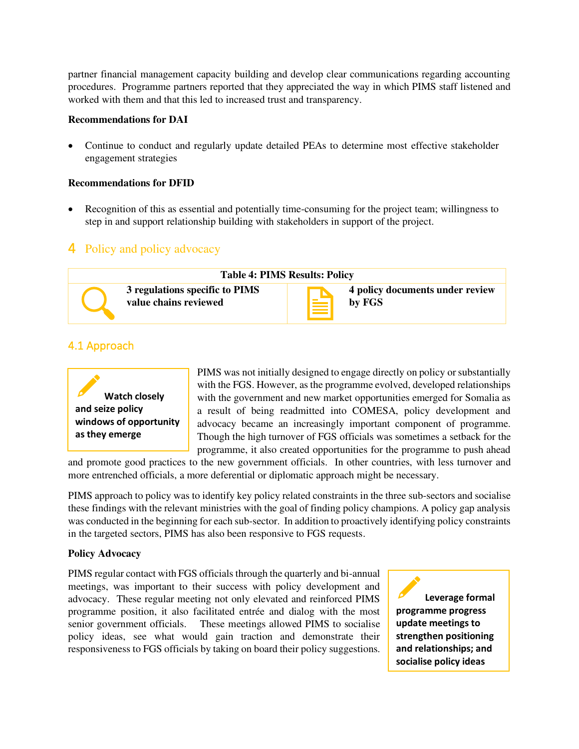partner financial management capacity building and develop clear communications regarding accounting procedures. Programme partners reported that they appreciated the way in which PIMS staff listened and worked with them and that this led to increased trust and transparency.

#### **Recommendations for DAI**

• Continue to conduct and regularly update detailed PEAs to determine most effective stakeholder engagement strategies

#### **Recommendations for DFID**

• Recognition of this as essential and potentially time-consuming for the project team; willingness to step in and support relationship building with stakeholders in support of the project.

## <span id="page-21-0"></span>4 Policy and policy advocacy



### <span id="page-21-1"></span>4.1 Approach



PIMS was not initially designed to engage directly on policy or substantially with the FGS. However, as the programme evolved, developed relationships with the government and new market opportunities emerged for Somalia as a result of being readmitted into COMESA, policy development and advocacy became an increasingly important component of programme. Though the high turnover of FGS officials was sometimes a setback for the programme, it also created opportunities for the programme to push ahead

and promote good practices to the new government officials. In other countries, with less turnover and more entrenched officials, a more deferential or diplomatic approach might be necessary.

PIMS approach to policy was to identify key policy related constraints in the three sub-sectors and socialise these findings with the relevant ministries with the goal of finding policy champions. A policy gap analysis was conducted in the beginning for each sub-sector. In addition to proactively identifying policy constraints in the targeted sectors, PIMS has also been responsive to FGS requests.

#### **Policy Advocacy**

PIMS regular contact with FGS officials through the quarterly and bi-annual meetings, was important to their success with policy development and advocacy. These regular meeting not only elevated and reinforced PIMS programme position, it also facilitated entrée and dialog with the most senior government officials. These meetings allowed PIMS to socialise policy ideas, see what would gain traction and demonstrate their responsiveness to FGS officials by taking on board their policy suggestions.

 **Leverage formal programme progress update meetings to strengthen positioning and relationships; and socialise policy ideas**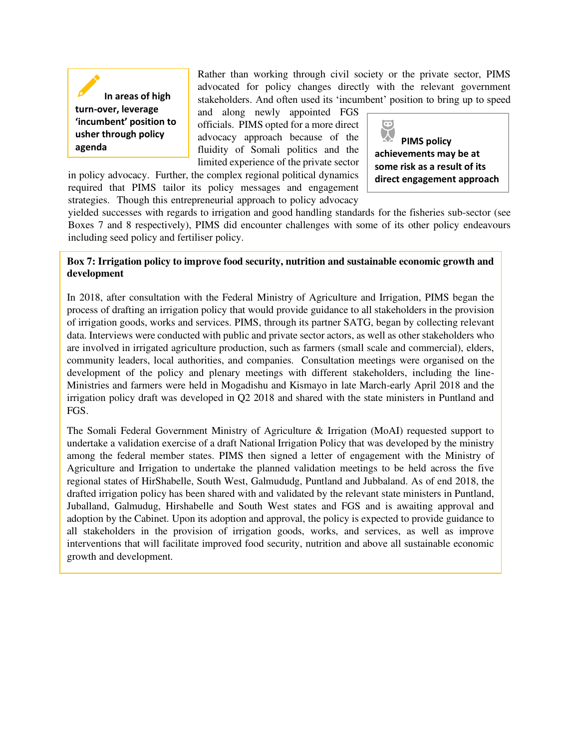**In areas of high turn-over, leverage 'incumbent' position to usher through policy** 

Rather than working through civil society or the private sector, PIMS advocated for policy changes directly with the relevant government stakeholders. And often used its 'incumbent' position to bring up to speed

and along newly appointed FGS officials. PIMS opted for a more direct advocacy approach because of the advocacy approach because of the **PIMS policy**<br>agenda *Agenda* **PIMS PIMS PIMS PIMS PIMS PIMS PIMS PIMS PIMS PIMS PIMS PIMS PIMS PIMS PIMS PIMS PIMS PIMS PIMS PIMS PIMS PIMS PI** limited experience of the private sector

in policy advocacy. Further, the complex regional political dynamics required that PIMS tailor its policy messages and engagement strategies. Though this entrepreneurial approach to policy advocacy

 $\bullet$ **achievements may be at some risk as a result of its direct engagement approach** 

yielded successes with regards to irrigation and good handling standards for the fisheries sub-sector (see Boxes 7 and 8 respectively), PIMS did encounter challenges with some of its other policy endeavours including seed policy and fertiliser policy.

#### **Box 7: Irrigation policy to improve food security, nutrition and sustainable economic growth and development**

In 2018, after consultation with the Federal Ministry of Agriculture and Irrigation, PIMS began the process of drafting an irrigation policy that would provide guidance to all stakeholders in the provision of irrigation goods, works and services. PIMS, through its partner SATG, began by collecting relevant data. Interviews were conducted with public and private sector actors, as well as other stakeholders who are involved in irrigated agriculture production, such as farmers (small scale and commercial), elders, community leaders, local authorities, and companies. Consultation meetings were organised on the development of the policy and plenary meetings with different stakeholders, including the line-Ministries and farmers were held in Mogadishu and Kismayo in late March-early April 2018 and the irrigation policy draft was developed in Q2 2018 and shared with the state ministers in Puntland and FGS.

The Somali Federal Government Ministry of Agriculture & Irrigation (MoAI) requested support to undertake a validation exercise of a draft National Irrigation Policy that was developed by the ministry among the federal member states. PIMS then signed a letter of engagement with the Ministry of Agriculture and Irrigation to undertake the planned validation meetings to be held across the five regional states of HirShabelle, South West, Galmududg, Puntland and Jubbaland. As of end 2018, the drafted irrigation policy has been shared with and validated by the relevant state ministers in Puntland, Juballand, Galmudug, Hirshabelle and South West states and FGS and is awaiting approval and adoption by the Cabinet. Upon its adoption and approval, the policy is expected to provide guidance to all stakeholders in the provision of irrigation goods, works, and services, as well as improve interventions that will facilitate improved food security, nutrition and above all sustainable economic growth and development.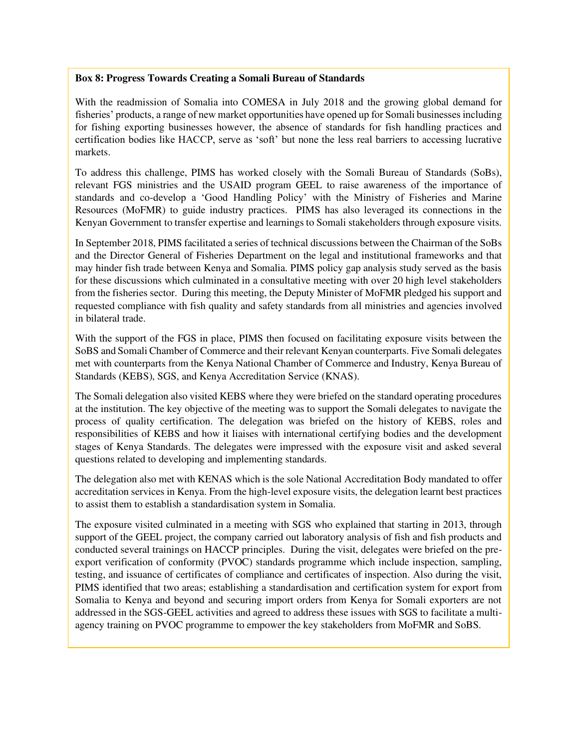#### **Box 8: Progress Towards Creating a Somali Bureau of Standards**

With the readmission of Somalia into COMESA in July 2018 and the growing global demand for fisheries' products, a range of new market opportunities have opened up for Somali businesses including for fishing exporting businesses however, the absence of standards for fish handling practices and certification bodies like HACCP, serve as 'soft' but none the less real barriers to accessing lucrative markets.

To address this challenge, PIMS has worked closely with the Somali Bureau of Standards (SoBs), relevant FGS ministries and the USAID program GEEL to raise awareness of the importance of standards and co-develop a 'Good Handling Policy' with the Ministry of Fisheries and Marine Resources (MoFMR) to guide industry practices. PIMS has also leveraged its connections in the Kenyan Government to transfer expertise and learnings to Somali stakeholders through exposure visits.

In September 2018, PIMS facilitated a series of technical discussions between the Chairman of the SoBs and the Director General of Fisheries Department on the legal and institutional frameworks and that may hinder fish trade between Kenya and Somalia. PIMS policy gap analysis study served as the basis for these discussions which culminated in a consultative meeting with over 20 high level stakeholders from the fisheries sector. During this meeting, the Deputy Minister of MoFMR pledged his support and requested compliance with fish quality and safety standards from all ministries and agencies involved in bilateral trade.

With the support of the FGS in place, PIMS then focused on facilitating exposure visits between the SoBS and Somali Chamber of Commerce and their relevant Kenyan counterparts. Five Somali delegates met with counterparts from the Kenya National Chamber of Commerce and Industry, Kenya Bureau of Standards (KEBS), SGS, and Kenya Accreditation Service (KNAS).

The Somali delegation also visited KEBS where they were briefed on the standard operating procedures at the institution. The key objective of the meeting was to support the Somali delegates to navigate the process of quality certification. The delegation was briefed on the history of KEBS, roles and responsibilities of KEBS and how it liaises with international certifying bodies and the development stages of Kenya Standards. The delegates were impressed with the exposure visit and asked several questions related to developing and implementing standards.

The delegation also met with KENAS which is the sole National Accreditation Body mandated to offer accreditation services in Kenya. From the high-level exposure visits, the delegation learnt best practices to assist them to establish a standardisation system in Somalia.

The exposure visited culminated in a meeting with SGS who explained that starting in 2013, through support of the GEEL project, the company carried out laboratory analysis of fish and fish products and conducted several trainings on HACCP principles. During the visit, delegates were briefed on the preexport verification of conformity (PVOC) standards programme which include inspection, sampling, testing, and issuance of certificates of compliance and certificates of inspection. Also during the visit, PIMS identified that two areas; establishing a standardisation and certification system for export from Somalia to Kenya and beyond and securing import orders from Kenya for Somali exporters are not addressed in the SGS-GEEL activities and agreed to address these issues with SGS to facilitate a multiagency training on PVOC programme to empower the key stakeholders from MoFMR and SoBS.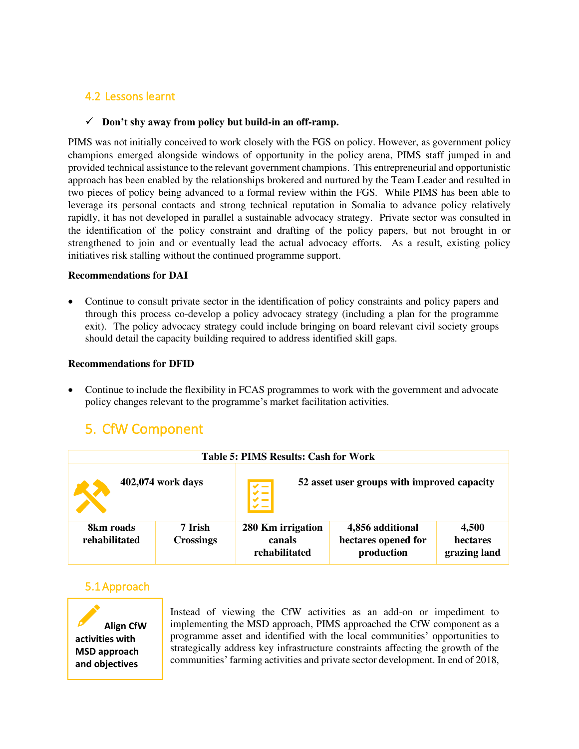### <span id="page-24-0"></span>4.2 Lessons learnt

#### ✓ **Don't shy away from policy but build-in an off-ramp.**

PIMS was not initially conceived to work closely with the FGS on policy. However, as government policy champions emerged alongside windows of opportunity in the policy arena, PIMS staff jumped in and provided technical assistance to the relevant government champions. This entrepreneurial and opportunistic approach has been enabled by the relationships brokered and nurtured by the Team Leader and resulted in two pieces of policy being advanced to a formal review within the FGS. While PIMS has been able to leverage its personal contacts and strong technical reputation in Somalia to advance policy relatively rapidly, it has not developed in parallel a sustainable advocacy strategy. Private sector was consulted in the identification of the policy constraint and drafting of the policy papers, but not brought in or strengthened to join and or eventually lead the actual advocacy efforts. As a result, existing policy initiatives risk stalling without the continued programme support.

#### **Recommendations for DAI**

• Continue to consult private sector in the identification of policy constraints and policy papers and through this process co-develop a policy advocacy strategy (including a plan for the programme exit). The policy advocacy strategy could include bringing on board relevant civil society groups should detail the capacity building required to address identified skill gaps.

#### **Recommendations for DFID**

• Continue to include the flexibility in FCAS programmes to work with the government and advocate policy changes relevant to the programme's market facilitation activities.

## <span id="page-24-1"></span>5. CfW Component

| <b>Table 5: PIMS Results: Cash for Work</b> |                             |                                              |                                                       |                                   |
|---------------------------------------------|-----------------------------|----------------------------------------------|-------------------------------------------------------|-----------------------------------|
|                                             | 402,074 work days           | $\frac{1}{\sqrt{1+\frac{1}{2}}}$             | 52 asset user groups with improved capacity           |                                   |
| 8km roads<br>rehabilitated                  | 7 Irish<br><b>Crossings</b> | 280 Km irrigation<br>canals<br>rehabilitated | 4,856 additional<br>hectares opened for<br>production | 4,500<br>hectares<br>grazing land |

#### <span id="page-24-2"></span>5.1Approach



Instead of viewing the CfW activities as an add-on or impediment to implementing the MSD approach, PIMS approached the CfW component as a programme asset and identified with the local communities' opportunities to strategically address key infrastructure constraints affecting the growth of the communities' farming activities and private sector development. In end of 2018,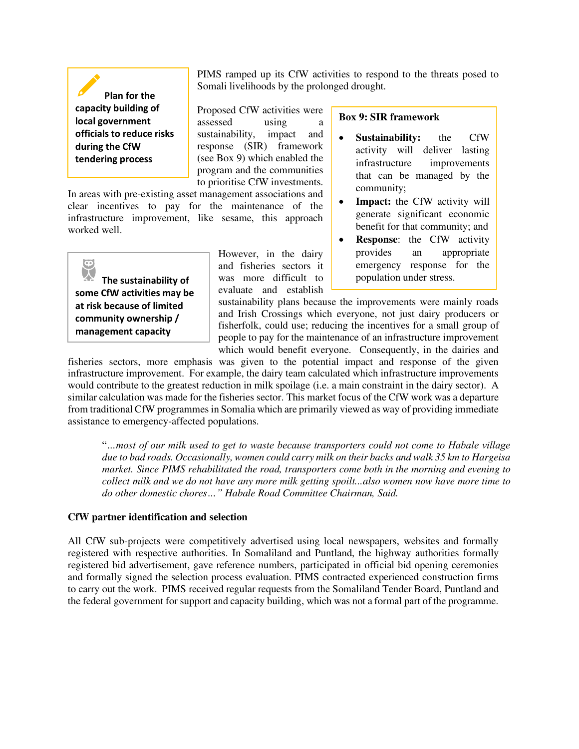**Plan for the capacity building of local government officials to reduce risks during the CfW tendering process** 

**management capacity** 

 $\widetilde{\mathcal{P}}$ 

PIMS ramped up its CfW activities to respond to the threats posed to Somali livelihoods by the prolonged drought.

Proposed CfW activities were assessed using a sustainability, impact and response (SIR) framework (see Box 9) which enabled the program and the communities to prioritise CfW investments.

In areas with pre-existing asset management associations and clear incentives to pay for the maintenance of the infrastructure improvement, like sesame, this approach worked well.

**The sustainability of some CfW activities may be at risk because of limited community ownership /** 

However, in the dairy and fisheries sectors it was more difficult to evaluate and establish **Box 9: SIR framework** 

- **Sustainability:** the CfW activity will deliver lasting infrastructure improvements that can be managed by the community;
- **Impact:** the CfW activity will generate significant economic benefit for that community; and
- **Response**: the CfW activity provides an appropriate emergency response for the population under stress.

sustainability plans because the improvements were mainly roads and Irish Crossings which everyone, not just dairy producers or fisherfolk, could use; reducing the incentives for a small group of people to pay for the maintenance of an infrastructure improvement which would benefit everyone. Consequently, in the dairies and

fisheries sectors, more emphasis was given to the potential impact and response of the given infrastructure improvement. For example, the dairy team calculated which infrastructure improvements would contribute to the greatest reduction in milk spoilage (i.e. a main constraint in the dairy sector). A similar calculation was made for the fisheries sector. This market focus of the CfW work was a departure from traditional CfW programmes in Somalia which are primarily viewed as way of providing immediate assistance to emergency-affected populations.

"*…most of our milk used to get to waste because transporters could not come to Habale village due to bad roads. Occasionally, women could carry milk on their backs and walk 35 km to Hargeisa market. Since PIMS rehabilitated the road, transporters come both in the morning and evening to collect milk and we do not have any more milk getting spoilt...also women now have more time to do other domestic chores…" Habale Road Committee Chairman, Said.* 

#### **CfW partner identification and selection**

All CfW sub-projects were competitively advertised using local newspapers, websites and formally registered with respective authorities. In Somaliland and Puntland, the highway authorities formally registered bid advertisement, gave reference numbers, participated in official bid opening ceremonies and formally signed the selection process evaluation. PIMS contracted experienced construction firms to carry out the work. PIMS received regular requests from the Somaliland Tender Board, Puntland and the federal government for support and capacity building, which was not a formal part of the programme.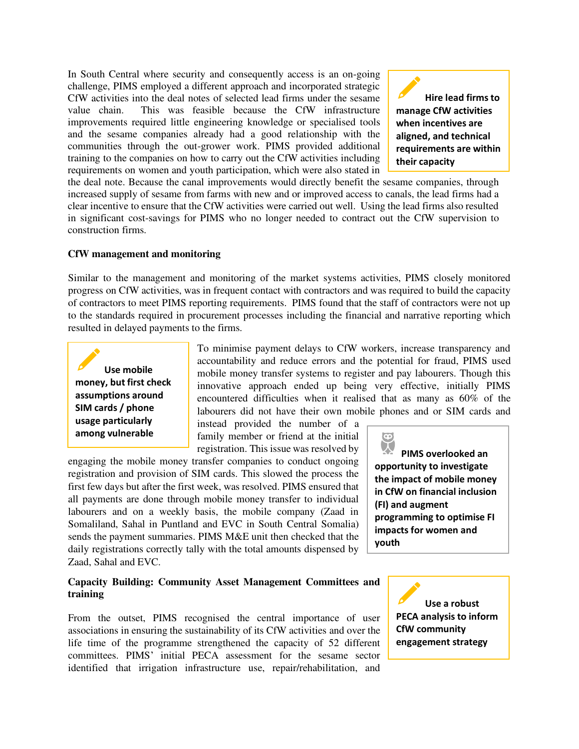In South Central where security and consequently access is an on-going challenge, PIMS employed a different approach and incorporated strategic CfW activities into the deal notes of selected lead firms under the sesame value chain. This was feasible because the CfW infrastructure improvements required little engineering knowledge or specialised tools and the sesame companies already had a good relationship with the communities through the out-grower work. PIMS provided additional training to the companies on how to carry out the CfW activities including requirements on women and youth participation, which were also stated in

 **Hire lead firms to manage CfW activities when incentives are aligned, and technical requirements are within their capacity** 

the deal note. Because the canal improvements would directly benefit the sesame companies, through increased supply of sesame from farms with new and or improved access to canals, the lead firms had a clear incentive to ensure that the CfW activities were carried out well. Using the lead firms also resulted in significant cost-savings for PIMS who no longer needed to contract out the CfW supervision to construction firms.

#### **CfW management and monitoring**

Similar to the management and monitoring of the market systems activities, PIMS closely monitored progress on CfW activities, was in frequent contact with contractors and was required to build the capacity of contractors to meet PIMS reporting requirements. PIMS found that the staff of contractors were not up to the standards required in procurement processes including the financial and narrative reporting which resulted in delayed payments to the firms.

 **Use mobile money, but first check assumptions around SIM cards / phone usage particularly among vulnerable** 

**groups** 

To minimise payment delays to CfW workers, increase transparency and accountability and reduce errors and the potential for fraud, PIMS used mobile money transfer systems to register and pay labourers. Though this innovative approach ended up being very effective, initially PIMS encountered difficulties when it realised that as many as 60% of the labourers did not have their own mobile phones and or SIM cards and

**youth** 

 $\bullet$ 

instead provided the number of a family member or friend at the initial registration. This issue was resolved by

engaging the mobile money transfer companies to conduct ongoing registration and provision of SIM cards. This slowed the process the first few days but after the first week, was resolved. PIMS ensured that all payments are done through mobile money transfer to individual labourers and on a weekly basis, the mobile company (Zaad in Somaliland, Sahal in Puntland and EVC in South Central Somalia) sends the payment summaries. PIMS M&E unit then checked that the daily registrations correctly tally with the total amounts dispensed by Zaad, Sahal and EVC.

#### **Capacity Building: Community Asset Management Committees and training**

From the outset, PIMS recognised the central importance of user associations in ensuring the sustainability of its CfW activities and over the life time of the programme strengthened the capacity of 52 different committees. PIMS' initial PECA assessment for the sesame sector identified that irrigation infrastructure use, repair/rehabilitation, and

 **Use a robust PECA analysis to inform** 

**CfW community engagement strategy** 

**PIMS overlooked an opportunity to investigate the impact of mobile money in CfW on financial inclusion (FI) and augment programming to optimise FI impacts for women and**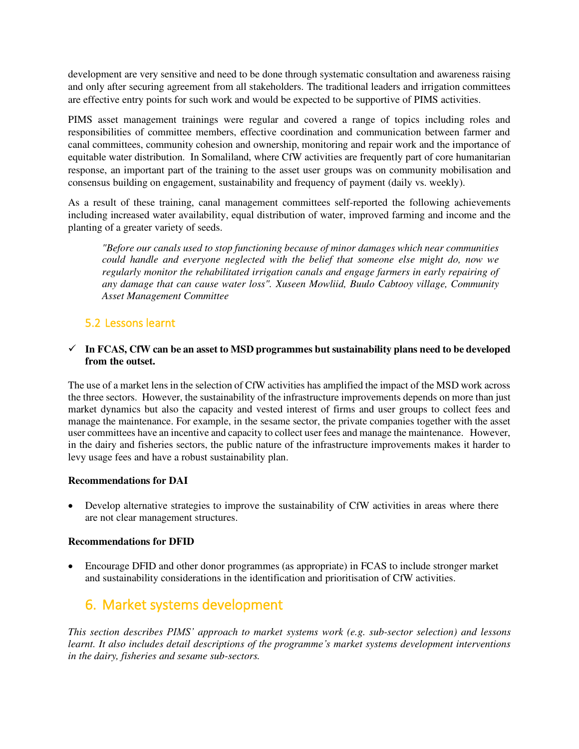development are very sensitive and need to be done through systematic consultation and awareness raising and only after securing agreement from all stakeholders. The traditional leaders and irrigation committees are effective entry points for such work and would be expected to be supportive of PIMS activities.

PIMS asset management trainings were regular and covered a range of topics including roles and responsibilities of committee members, effective coordination and communication between farmer and canal committees, community cohesion and ownership, monitoring and repair work and the importance of equitable water distribution. In Somaliland, where CfW activities are frequently part of core humanitarian response, an important part of the training to the asset user groups was on community mobilisation and consensus building on engagement, sustainability and frequency of payment (daily vs. weekly).

As a result of these training, canal management committees self-reported the following achievements including increased water availability, equal distribution of water, improved farming and income and the planting of a greater variety of seeds.

*"Before our canals used to stop functioning because of minor damages which near communities could handle and everyone neglected with the belief that someone else might do, now we regularly monitor the rehabilitated irrigation canals and engage farmers in early repairing of any damage that can cause water loss". Xuseen Mowliid, Buulo Cabtooy village, Community Asset Management Committee*

### <span id="page-27-0"></span>5.2 Lessons learnt

#### $\checkmark$  In FCAS, CfW can be an asset to MSD programmes but sustainability plans need to be developed **from the outset.**

The use of a market lens in the selection of CfW activities has amplified the impact of the MSD work across the three sectors. However, the sustainability of the infrastructure improvements depends on more than just market dynamics but also the capacity and vested interest of firms and user groups to collect fees and manage the maintenance. For example, in the sesame sector, the private companies together with the asset user committees have an incentive and capacity to collect user fees and manage the maintenance. However, in the dairy and fisheries sectors, the public nature of the infrastructure improvements makes it harder to levy usage fees and have a robust sustainability plan.

#### **Recommendations for DAI**

Develop alternative strategies to improve the sustainability of CfW activities in areas where there are not clear management structures.

#### **Recommendations for DFID**

• Encourage DFID and other donor programmes (as appropriate) in FCAS to include stronger market and sustainability considerations in the identification and prioritisation of CfW activities.

## <span id="page-27-1"></span>6. Market systems development

*This section describes PIMS' approach to market systems work (e.g. sub-sector selection) and lessons learnt. It also includes detail descriptions of the programme's market systems development interventions in the dairy, fisheries and sesame sub-sectors.*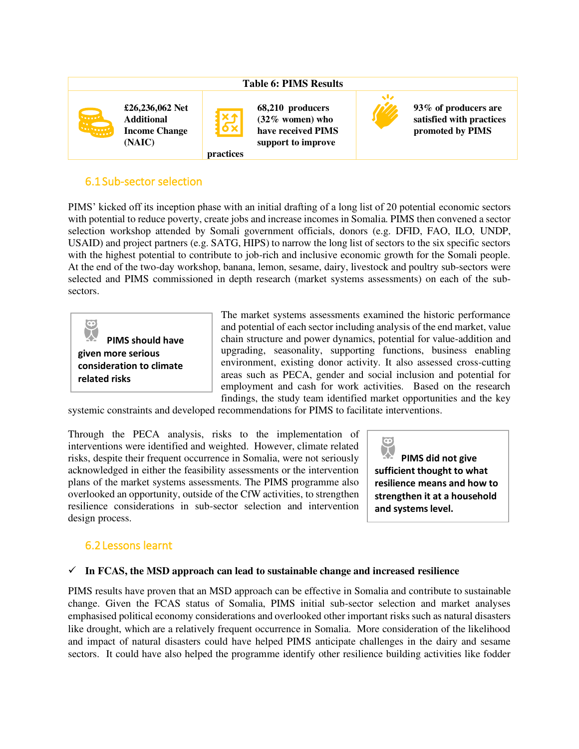|   |                                                                        |                                                             | <b>Table 6: PIMS Results</b>                                                       |                                                                      |
|---|------------------------------------------------------------------------|-------------------------------------------------------------|------------------------------------------------------------------------------------|----------------------------------------------------------------------|
| E | £26,236,062 Net<br><b>Additional</b><br><b>Income Change</b><br>(NAIC) | <b>Xj</b><br>$\overline{\mathbf{6}}\mathbf{x}$<br>practices | 68,210 producers<br>$(32\%$ women) who<br>have received PIMS<br>support to improve | 93% of producers are<br>satisfied with practices<br>promoted by PIMS |

### <span id="page-28-0"></span>6.1Sub-sector selection

PIMS' kicked off its inception phase with an initial drafting of a long list of 20 potential economic sectors with potential to reduce poverty, create jobs and increase incomes in Somalia. PIMS then convened a sector selection workshop attended by Somali government officials, donors (e.g. DFID, FAO, ILO, UNDP, USAID) and project partners (e.g. SATG, HIPS) to narrow the long list of sectors to the six specific sectors with the highest potential to contribute to job-rich and inclusive economic growth for the Somali people. At the end of the two-day workshop, banana, lemon, sesame, dairy, livestock and poultry sub-sectors were selected and PIMS commissioned in depth research (market systems assessments) on each of the subsectors.



The market systems assessments examined the historic performance and potential of each sector including analysis of the end market, value chain structure and power dynamics, potential for value-addition and upgrading, seasonality, supporting functions, business enabling environment, existing donor activity. It also assessed cross-cutting areas such as PECA, gender and social inclusion and potential for employment and cash for work activities. Based on the research findings, the study team identified market opportunities and the key

systemic constraints and developed recommendations for PIMS to facilitate interventions.

Through the PECA analysis, risks to the implementation of interventions were identified and weighted. However, climate related risks, despite their frequent occurrence in Somalia, were not seriously acknowledged in either the feasibility assessments or the intervention plans of the market systems assessments. The PIMS programme also overlooked an opportunity, outside of the CfW activities, to strengthen resilience considerations in sub-sector selection and intervention design process.

 $\bullet$ **PIMS did not give sufficient thought to what resilience means and how to strengthen it at a household and systems level.** 

### <span id="page-28-1"></span>6.2Lessons learnt

#### ✓ **In FCAS, the MSD approach can lead to sustainable change and increased resilience**

PIMS results have proven that an MSD approach can be effective in Somalia and contribute to sustainable change. Given the FCAS status of Somalia, PIMS initial sub-sector selection and market analyses emphasised political economy considerations and overlooked other important risks such as natural disasters like drought, which are a relatively frequent occurrence in Somalia. More consideration of the likelihood and impact of natural disasters could have helped PIMS anticipate challenges in the dairy and sesame sectors. It could have also helped the programme identify other resilience building activities like fodder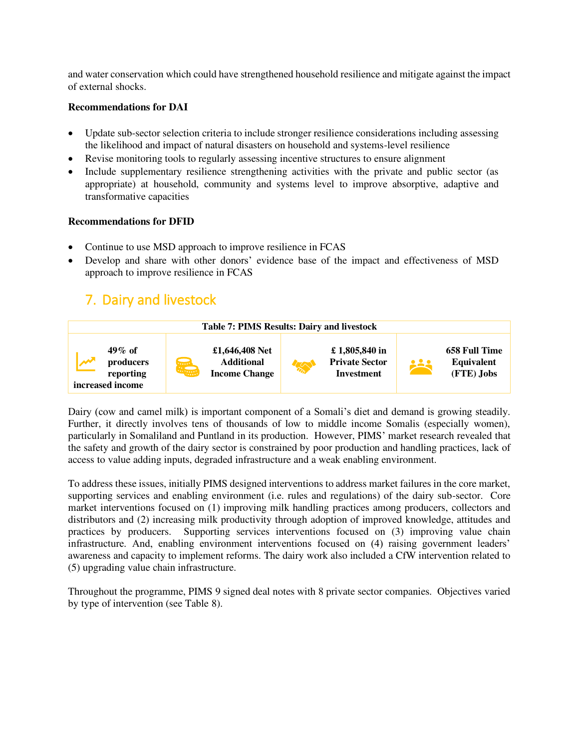and water conservation which could have strengthened household resilience and mitigate against the impact of external shocks.

#### **Recommendations for DAI**

- Update sub-sector selection criteria to include stronger resilience considerations including assessing the likelihood and impact of natural disasters on household and systems-level resilience
- Revise monitoring tools to regularly assessing incentive structures to ensure alignment
- Include supplementary resilience strengthening activities with the private and public sector (as appropriate) at household, community and systems level to improve absorptive, adaptive and transformative capacities

#### **Recommendations for DFID**

- Continue to use MSD approach to improve resilience in FCAS
- Develop and share with other donors' evidence base of the impact and effectiveness of MSD approach to improve resilience in FCAS

## <span id="page-29-0"></span>7. Dairy and livestock



Dairy (cow and camel milk) is important component of a Somali's diet and demand is growing steadily. Further, it directly involves tens of thousands of low to middle income Somalis (especially women), particularly in Somaliland and Puntland in its production. However, PIMS' market research revealed that the safety and growth of the dairy sector is constrained by poor production and handling practices, lack of access to value adding inputs, degraded infrastructure and a weak enabling environment.

To address these issues, initially PIMS designed interventions to address market failures in the core market, supporting services and enabling environment (i.e. rules and regulations) of the dairy sub-sector. Core market interventions focused on (1) improving milk handling practices among producers, collectors and distributors and (2) increasing milk productivity through adoption of improved knowledge, attitudes and practices by producers. Supporting services interventions focused on (3) improving value chain infrastructure. And, enabling environment interventions focused on (4) raising government leaders' awareness and capacity to implement reforms. The dairy work also included a CfW intervention related to (5) upgrading value chain infrastructure.

Throughout the programme, PIMS 9 signed deal notes with 8 private sector companies. Objectives varied by type of intervention (see Table 8).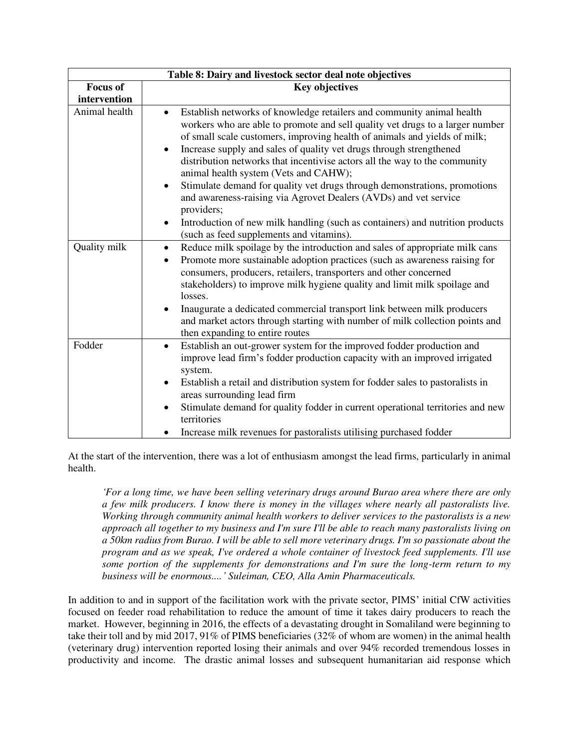| Table 8: Dairy and livestock sector deal note objectives |                                                                                                                                                                                                                                                                                                                                                                                                                                                                                                                                                                                                                                                                                                                                       |  |  |  |
|----------------------------------------------------------|---------------------------------------------------------------------------------------------------------------------------------------------------------------------------------------------------------------------------------------------------------------------------------------------------------------------------------------------------------------------------------------------------------------------------------------------------------------------------------------------------------------------------------------------------------------------------------------------------------------------------------------------------------------------------------------------------------------------------------------|--|--|--|
| <b>Focus of</b>                                          | <b>Key objectives</b>                                                                                                                                                                                                                                                                                                                                                                                                                                                                                                                                                                                                                                                                                                                 |  |  |  |
| intervention                                             |                                                                                                                                                                                                                                                                                                                                                                                                                                                                                                                                                                                                                                                                                                                                       |  |  |  |
| Animal health                                            | Establish networks of knowledge retailers and community animal health<br>$\bullet$<br>workers who are able to promote and sell quality vet drugs to a larger number<br>of small scale customers, improving health of animals and yields of milk;<br>Increase supply and sales of quality vet drugs through strengthened<br>$\bullet$<br>distribution networks that incentivise actors all the way to the community<br>animal health system (Vets and CAHW);<br>Stimulate demand for quality vet drugs through demonstrations, promotions<br>$\bullet$<br>and awareness-raising via Agrovet Dealers (AVDs) and vet service<br>providers;<br>Introduction of new milk handling (such as containers) and nutrition products<br>$\bullet$ |  |  |  |
|                                                          | (such as feed supplements and vitamins).                                                                                                                                                                                                                                                                                                                                                                                                                                                                                                                                                                                                                                                                                              |  |  |  |
| Quality milk                                             | Reduce milk spoilage by the introduction and sales of appropriate milk cans<br>$\bullet$<br>Promote more sustainable adoption practices (such as awareness raising for<br>$\bullet$<br>consumers, producers, retailers, transporters and other concerned<br>stakeholders) to improve milk hygiene quality and limit milk spoilage and<br>losses.<br>Inaugurate a dedicated commercial transport link between milk producers<br>$\bullet$<br>and market actors through starting with number of milk collection points and                                                                                                                                                                                                              |  |  |  |
| Fodder                                                   | then expanding to entire routes<br>Establish an out-grower system for the improved fodder production and<br>$\bullet$<br>improve lead firm's fodder production capacity with an improved irrigated<br>system.<br>Establish a retail and distribution system for fodder sales to pastoralists in<br>$\bullet$<br>areas surrounding lead firm<br>Stimulate demand for quality fodder in current operational territories and new<br>٠<br>territories<br>Increase milk revenues for pastoralists utilising purchased fodder<br>$\bullet$                                                                                                                                                                                                  |  |  |  |

At the start of the intervention, there was a lot of enthusiasm amongst the lead firms, particularly in animal health.

*'For a long time, we have been selling veterinary drugs around Burao area where there are only a few milk producers. I know there is money in the villages where nearly all pastoralists live. Working through community animal health workers to deliver services to the pastoralists is a new approach all together to my business and I'm sure I'll be able to reach many pastoralists living on a 50km radius from Burao. I will be able to sell more veterinary drugs. I'm so passionate about the program and as we speak, I've ordered a whole container of livestock feed supplements. I'll use some portion of the supplements for demonstrations and I'm sure the long-term return to my business will be enormous....' Suleiman, CEO, Alla Amin Pharmaceuticals.* 

In addition to and in support of the facilitation work with the private sector, PIMS' initial CfW activities focused on feeder road rehabilitation to reduce the amount of time it takes dairy producers to reach the market. However, beginning in 2016, the effects of a devastating drought in Somaliland were beginning to take their toll and by mid 2017, 91% of PIMS beneficiaries (32% of whom are women) in the animal health (veterinary drug) intervention reported losing their animals and over 94% recorded tremendous losses in productivity and income. The drastic animal losses and subsequent humanitarian aid response which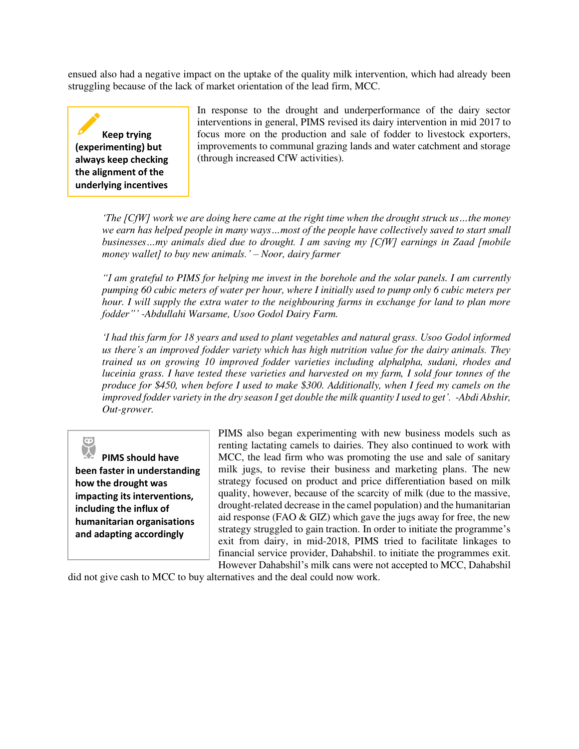ensued also had a negative impact on the uptake of the quality milk intervention, which had already been struggling because of the lack of market orientation of the lead firm, MCC.

**Keep trying (experimenting) but always keep checking the alignment of the underlying incentives** 

In response to the drought and underperformance of the dairy sector interventions in general, PIMS revised its dairy intervention in mid 2017 to focus more on the production and sale of fodder to livestock exporters, improvements to communal grazing lands and water catchment and storage (through increased CfW activities).

*'The [CfW] work we are doing here came at the right time when the drought struck us…the money we earn has helped people in many ways…most of the people have collectively saved to start small businesses…my animals died due to drought. I am saving my [CfW] earnings in Zaad [mobile money wallet] to buy new animals.' – Noor, dairy farmer* 

*"I am grateful to PIMS for helping me invest in the borehole and the solar panels. I am currently pumping 60 cubic meters of water per hour, where I initially used to pump only 6 cubic meters per hour. I will supply the extra water to the neighbouring farms in exchange for land to plan more fodder"' -Abdullahi Warsame, Usoo Godol Dairy Farm.* 

*'I had this farm for 18 years and used to plant vegetables and natural grass. Usoo Godol informed us there's an improved fodder variety which has high nutrition value for the dairy animals. They trained us on growing 10 improved fodder varieties including alphalpha, sudani, rhodes and luceinia grass. I have tested these varieties and harvested on my farm, I sold four tonnes of the produce for \$450, when before I used to make \$300. Additionally, when I feed my camels on the improved fodder variety in the dry season I get double the milk quantity I used to get'. -Abdi Abshir, Out-grower.* 

**PIMS should have been faster in understanding how the drought was impacting its interventions, including the influx of humanitarian organisations and adapting accordingly** 

PIMS also began experimenting with new business models such as renting lactating camels to dairies. They also continued to work with MCC, the lead firm who was promoting the use and sale of sanitary milk jugs, to revise their business and marketing plans. The new strategy focused on product and price differentiation based on milk quality, however, because of the scarcity of milk (due to the massive, drought-related decrease in the camel population) and the humanitarian aid response (FAO & GIZ) which gave the jugs away for free, the new strategy struggled to gain traction. In order to initiate the programme's exit from dairy, in mid-2018, PIMS tried to facilitate linkages to financial service provider, Dahabshil. to initiate the programmes exit. However Dahabshil's milk cans were not accepted to MCC, Dahabshil

did not give cash to MCC to buy alternatives and the deal could now work.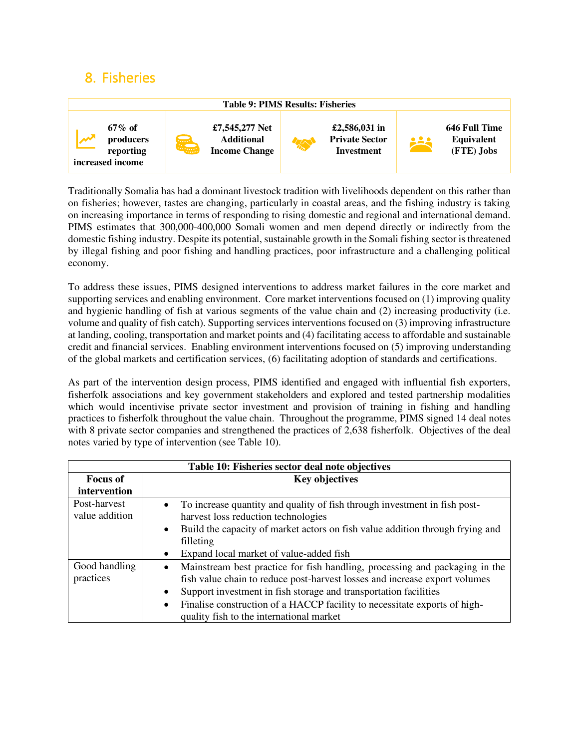## <span id="page-32-0"></span>8. Fisheries



Traditionally Somalia has had a dominant livestock tradition with livelihoods dependent on this rather than on fisheries; however, tastes are changing, particularly in coastal areas, and the fishing industry is taking on increasing importance in terms of responding to rising domestic and regional and international demand. PIMS estimates that 300,000-400,000 Somali women and men depend directly or indirectly from the domestic fishing industry. Despite its potential, sustainable growth in the Somali fishing sector is threatened by illegal fishing and poor fishing and handling practices, poor infrastructure and a challenging political economy.

To address these issues, PIMS designed interventions to address market failures in the core market and supporting services and enabling environment. Core market interventions focused on (1) improving quality and hygienic handling of fish at various segments of the value chain and (2) increasing productivity (i.e. volume and quality of fish catch). Supporting services interventions focused on (3) improving infrastructure at landing, cooling, transportation and market points and (4) facilitating access to affordable and sustainable credit and financial services. Enabling environment interventions focused on (5) improving understanding of the global markets and certification services, (6) facilitating adoption of standards and certifications.

As part of the intervention design process, PIMS identified and engaged with influential fish exporters, fisherfolk associations and key government stakeholders and explored and tested partnership modalities which would incentivise private sector investment and provision of training in fishing and handling practices to fisherfolk throughout the value chain. Throughout the programme, PIMS signed 14 deal notes with 8 private sector companies and strengthened the practices of 2,638 fisherfolk. Objectives of the deal notes varied by type of intervention (see Table 10).

| Table 10: Fisheries sector deal note objectives |                                                                                                                                                                                                                                                                                                                                                                       |  |  |
|-------------------------------------------------|-----------------------------------------------------------------------------------------------------------------------------------------------------------------------------------------------------------------------------------------------------------------------------------------------------------------------------------------------------------------------|--|--|
| <b>Focus of</b>                                 | <b>Key objectives</b>                                                                                                                                                                                                                                                                                                                                                 |  |  |
| intervention                                    |                                                                                                                                                                                                                                                                                                                                                                       |  |  |
| Post-harvest<br>value addition                  | To increase quantity and quality of fish through investment in fish post-<br>$\bullet$<br>harvest loss reduction technologies                                                                                                                                                                                                                                         |  |  |
|                                                 | Build the capacity of market actors on fish value addition through frying and<br>$\bullet$<br>filleting                                                                                                                                                                                                                                                               |  |  |
|                                                 | Expand local market of value-added fish<br>$\bullet$                                                                                                                                                                                                                                                                                                                  |  |  |
| Good handling<br>practices                      | Mainstream best practice for fish handling, processing and packaging in the<br>٠<br>fish value chain to reduce post-harvest losses and increase export volumes<br>Support investment in fish storage and transportation facilities<br>٠<br>Finalise construction of a HACCP facility to necessitate exports of high-<br>٠<br>quality fish to the international market |  |  |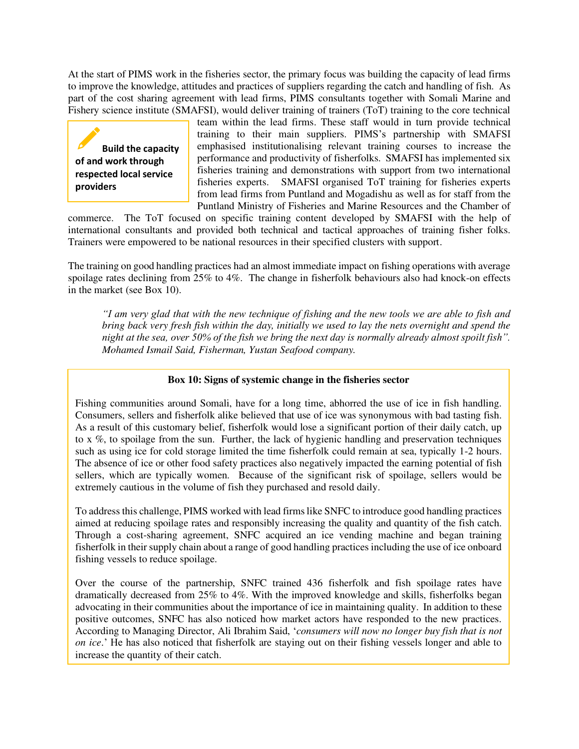At the start of PIMS work in the fisheries sector, the primary focus was building the capacity of lead firms to improve the knowledge, attitudes and practices of suppliers regarding the catch and handling of fish. As part of the cost sharing agreement with lead firms, PIMS consultants together with Somali Marine and Fishery science institute (SMAFSI), would deliver training of trainers (ToT) training to the core technical

**Build the capacity of and work through respected local service providers** 

team within the lead firms. These staff would in turn provide technical training to their main suppliers. PIMS's partnership with SMAFSI emphasised institutionalising relevant training courses to increase the performance and productivity of fisherfolks. SMAFSI has implemented six fisheries training and demonstrations with support from two international fisheries experts. SMAFSI organised ToT training for fisheries experts SMAFSI organised ToT training for fisheries experts. from lead firms from Puntland and Mogadishu as well as for staff from the Puntland Ministry of Fisheries and Marine Resources and the Chamber of

commerce. The ToT focused on specific training content developed by SMAFSI with the help of international consultants and provided both technical and tactical approaches of training fisher folks. Trainers were empowered to be national resources in their specified clusters with support.

The training on good handling practices had an almost immediate impact on fishing operations with average spoilage rates declining from 25% to 4%. The change in fisherfolk behaviours also had knock-on effects in the market (see Box 10).

*"I am very glad that with the new technique of fishing and the new tools we are able to fish and bring back very fresh fish within the day, initially we used to lay the nets overnight and spend the night at the sea, over 50% of the fish we bring the next day is normally already almost spoilt fish". Mohamed Ismail Said, Fisherman, Yustan Seafood company.* 

#### **Box 10: Signs of systemic change in the fisheries sector**

Fishing communities around Somali, have for a long time, abhorred the use of ice in fish handling. Consumers, sellers and fisherfolk alike believed that use of ice was synonymous with bad tasting fish. As a result of this customary belief, fisherfolk would lose a significant portion of their daily catch, up to x %, to spoilage from the sun. Further, the lack of hygienic handling and preservation techniques such as using ice for cold storage limited the time fisherfolk could remain at sea, typically 1-2 hours. The absence of ice or other food safety practices also negatively impacted the earning potential of fish sellers, which are typically women. Because of the significant risk of spoilage, sellers would be extremely cautious in the volume of fish they purchased and resold daily.

To address this challenge, PIMS worked with lead firms like SNFC to introduce good handling practices aimed at reducing spoilage rates and responsibly increasing the quality and quantity of the fish catch. Through a cost-sharing agreement, SNFC acquired an ice vending machine and began training fisherfolk in their supply chain about a range of good handling practices including the use of ice onboard fishing vessels to reduce spoilage.

Over the course of the partnership, SNFC trained 436 fisherfolk and fish spoilage rates have dramatically decreased from 25% to 4%. With the improved knowledge and skills, fisherfolks began advocating in their communities about the importance of ice in maintaining quality. In addition to these positive outcomes, SNFC has also noticed how market actors have responded to the new practices. According to Managing Director, Ali Ibrahim Said, '*consumers will now no longer buy fish that is not on ice*.' He has also noticed that fisherfolk are staying out on their fishing vessels longer and able to increase the quantity of their catch.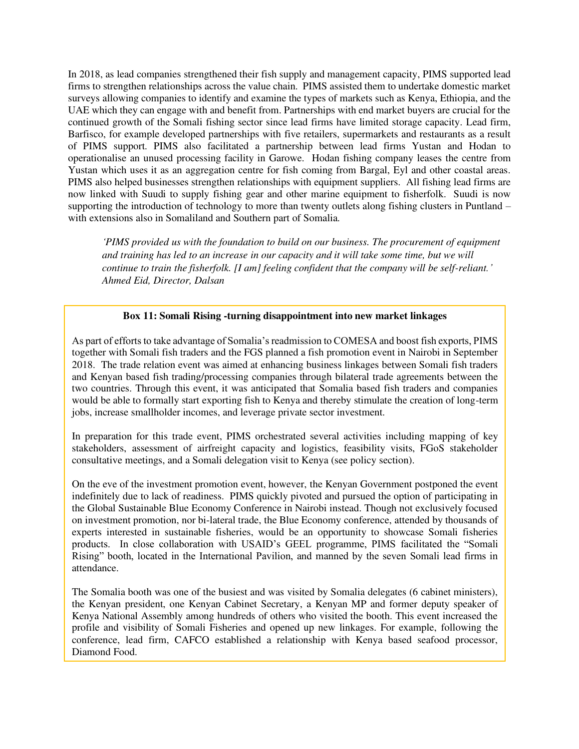In 2018, as lead companies strengthened their fish supply and management capacity, PIMS supported lead firms to strengthen relationships across the value chain. PIMS assisted them to undertake domestic market surveys allowing companies to identify and examine the types of markets such as Kenya, Ethiopia, and the UAE which they can engage with and benefit from. Partnerships with end market buyers are crucial for the continued growth of the Somali fishing sector since lead firms have limited storage capacity. Lead firm, Barfisco, for example developed partnerships with five retailers, supermarkets and restaurants as a result of PIMS support. PIMS also facilitated a partnership between lead firms Yustan and Hodan to operationalise an unused processing facility in Garowe. Hodan fishing company leases the centre from Yustan which uses it as an aggregation centre for fish coming from Bargal, Eyl and other coastal areas. PIMS also helped businesses strengthen relationships with equipment suppliers. All fishing lead firms are now linked with Suudi to supply fishing gear and other marine equipment to fisherfolk. Suudi is now supporting the introduction of technology to more than twenty outlets along fishing clusters in Puntland – with extensions also in Somaliland and Southern part of Somalia.

*'PIMS provided us with the foundation to build on our business. The procurement of equipment and training has led to an increase in our capacity and it will take some time, but we will continue to train the fisherfolk. [I am] feeling confident that the company will be self-reliant.' Ahmed Eid, Director, Dalsan* 

#### **Box 11: Somali Rising -turning disappointment into new market linkages**

As part of efforts to take advantage of Somalia's readmission to COMESA and boost fish exports, PIMS together with Somali fish traders and the FGS planned a fish promotion event in Nairobi in September 2018. The trade relation event was aimed at enhancing business linkages between Somali fish traders and Kenyan based fish trading/processing companies through bilateral trade agreements between the two countries. Through this event, it was anticipated that Somalia based fish traders and companies would be able to formally start exporting fish to Kenya and thereby stimulate the creation of long-term jobs, increase smallholder incomes, and leverage private sector investment.

In preparation for this trade event, PIMS orchestrated several activities including mapping of key stakeholders, assessment of airfreight capacity and logistics, feasibility visits, FGoS stakeholder consultative meetings, and a Somali delegation visit to Kenya (see policy section).

On the eve of the investment promotion event, however, the Kenyan Government postponed the event indefinitely due to lack of readiness. PIMS quickly pivoted and pursued the option of participating in the Global Sustainable Blue Economy Conference in Nairobi instead. Though not exclusively focused on investment promotion, nor bi-lateral trade, the Blue Economy conference, attended by thousands of experts interested in sustainable fisheries, would be an opportunity to showcase Somali fisheries products. In close collaboration with USAID's GEEL programme, PIMS facilitated the "Somali Rising" booth, located in the International Pavilion, and manned by the seven Somali lead firms in attendance.

The Somalia booth was one of the busiest and was visited by Somalia delegates (6 cabinet ministers), the Kenyan president, one Kenyan Cabinet Secretary, a Kenyan MP and former deputy speaker of Kenya National Assembly among hundreds of others who visited the booth. This event increased the profile and visibility of Somali Fisheries and opened up new linkages. For example, following the conference, lead firm, CAFCO established a relationship with Kenya based seafood processor, Diamond Food.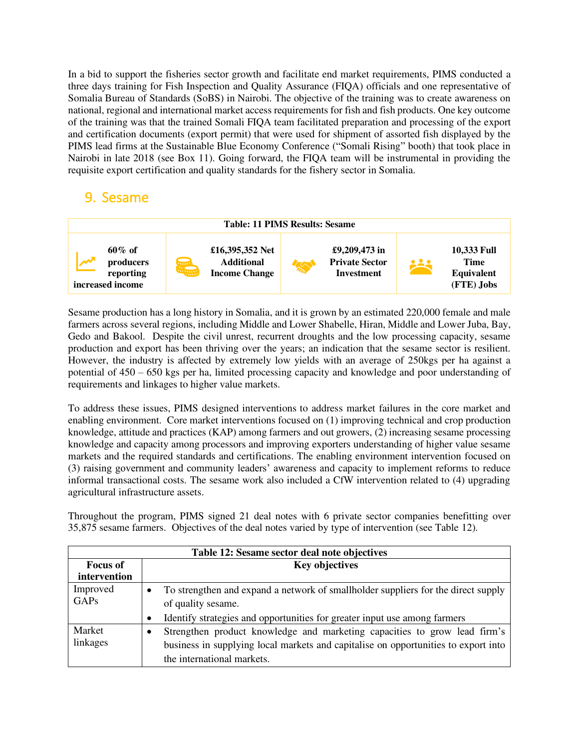In a bid to support the fisheries sector growth and facilitate end market requirements, PIMS conducted a three days training for Fish Inspection and Quality Assurance (FIQA) officials and one representative of Somalia Bureau of Standards (SoBS) in Nairobi. The objective of the training was to create awareness on national, regional and international market access requirements for fish and fish products. One key outcome of the training was that the trained Somali FIQA team facilitated preparation and processing of the export and certification documents (export permit) that were used for shipment of assorted fish displayed by the PIMS lead firms at the Sustainable Blue Economy Conference ("Somali Rising" booth) that took place in Nairobi in late 2018 (see Box 11). Going forward, the FIQA team will be instrumental in providing the requisite export certification and quality standards for the fishery sector in Somalia.

## <span id="page-35-0"></span>9. Sesame



Sesame production has a long history in Somalia, and it is grown by an estimated 220,000 female and male farmers across several regions, including Middle and Lower Shabelle, Hiran, Middle and Lower Juba, Bay, Gedo and Bakool. Despite the civil unrest, recurrent droughts and the low processing capacity, sesame production and export has been thriving over the years; an indication that the sesame sector is resilient. However, the industry is affected by extremely low yields with an average of 250kgs per ha against a potential of 450 – 650 kgs per ha, limited processing capacity and knowledge and poor understanding of requirements and linkages to higher value markets.

To address these issues, PIMS designed interventions to address market failures in the core market and enabling environment. Core market interventions focused on (1) improving technical and crop production knowledge, attitude and practices (KAP) among farmers and out growers, (2) increasing sesame processing knowledge and capacity among processors and improving exporters understanding of higher value sesame markets and the required standards and certifications. The enabling environment intervention focused on (3) raising government and community leaders' awareness and capacity to implement reforms to reduce informal transactional costs. The sesame work also included a CfW intervention related to (4) upgrading agricultural infrastructure assets.

Throughout the program, PIMS signed 21 deal notes with 6 private sector companies benefitting over 35,875 sesame farmers. Objectives of the deal notes varied by type of intervention (see Table 12).

| Table 12: Sesame sector deal note objectives |                                                                                    |  |  |
|----------------------------------------------|------------------------------------------------------------------------------------|--|--|
| <b>Focus of</b>                              | <b>Key objectives</b>                                                              |  |  |
| intervention                                 |                                                                                    |  |  |
| Improved                                     | To strengthen and expand a network of smallholder suppliers for the direct supply  |  |  |
| GAPs                                         | of quality sesame.                                                                 |  |  |
|                                              | Identify strategies and opportunities for greater input use among farmers          |  |  |
| Market                                       | Strengthen product knowledge and marketing capacities to grow lead firm's          |  |  |
| linkages                                     | business in supplying local markets and capitalise on opportunities to export into |  |  |
|                                              | the international markets.                                                         |  |  |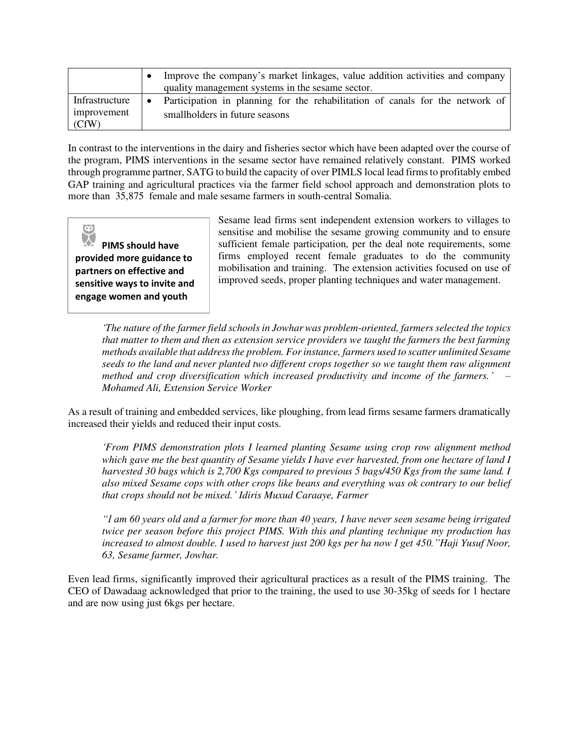|                                        | Improve the company's market linkages, value addition activities and company<br>quality management systems in the sesame sector. |
|----------------------------------------|----------------------------------------------------------------------------------------------------------------------------------|
| Infrastructure<br>improvement<br>(CfW) | • Participation in planning for the rehabilitation of canals for the network of<br>smallholders in future seasons                |

In contrast to the interventions in the dairy and fisheries sector which have been adapted over the course of the program, PIMS interventions in the sesame sector have remained relatively constant. PIMS worked through programme partner, SATG to build the capacity of over PIMLS local lead firms to profitably embed GAP training and agricultural practices via the farmer field school approach and demonstration plots to more than 35,875 female and male sesame farmers in south-central Somalia.

 $\bigcirc$ 

**PIMS should have provided more guidance to partners on effective and sensitive ways to invite and engage women and youth** 

Sesame lead firms sent independent extension workers to villages to sensitise and mobilise the sesame growing community and to ensure sufficient female participation, per the deal note requirements, some firms employed recent female graduates to do the community mobilisation and training. The extension activities focused on use of improved seeds, proper planting techniques and water management.

*'The nature of the farmer field schools in Jowhar was problem-oriented, farmers selected the topics that matter to them and then as extension service providers we taught the farmers the best farming methods available that address the problem. For instance, farmers used to scatter unlimited Sesame seeds to the land and never planted two different crops together so we taught them raw alignment method and crop diversification which increased productivity and income of the farmers.' – Mohamed Ali, Extension Service Worker* 

As a result of training and embedded services, like ploughing, from lead firms sesame farmers dramatically increased their yields and reduced their input costs.

*'From PIMS demonstration plots I learned planting Sesame using crop row alignment method which gave me the best quantity of Sesame yields I have ever harvested, from one hectare of land I harvested 30 bags which is 2,700 Kgs compared to previous 5 bags/450 Kgs from the same land. I also mixed Sesame cops with other crops like beans and everything was ok contrary to our belief that crops should not be mixed.' Idiris Muxud Caraaye, Farmer* 

*"I am 60 years old and a farmer for more than 40 years, I have never seen sesame being irrigated twice per season before this project PIMS. With this and planting technique my production has increased to almost double. I used to harvest just 200 kgs per ha now I get 450."Haji Yusuf Noor, 63, Sesame farmer, Jowhar.* 

Even lead firms, significantly improved their agricultural practices as a result of the PIMS training. The CEO of Dawadaag acknowledged that prior to the training, the used to use 30-35kg of seeds for 1 hectare and are now using just 6kgs per hectare.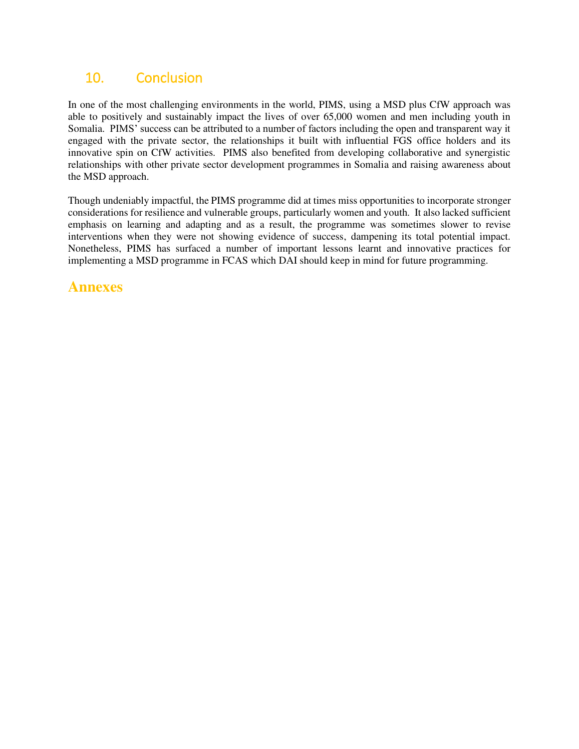## <span id="page-37-0"></span>10. Conclusion

In one of the most challenging environments in the world, PIMS, using a MSD plus CfW approach was able to positively and sustainably impact the lives of over 65,000 women and men including youth in Somalia. PIMS' success can be attributed to a number of factors including the open and transparent way it engaged with the private sector, the relationships it built with influential FGS office holders and its innovative spin on CfW activities. PIMS also benefited from developing collaborative and synergistic relationships with other private sector development programmes in Somalia and raising awareness about the MSD approach.

Though undeniably impactful, the PIMS programme did at times miss opportunities to incorporate stronger considerations for resilience and vulnerable groups, particularly women and youth. It also lacked sufficient emphasis on learning and adapting and as a result, the programme was sometimes slower to revise interventions when they were not showing evidence of success, dampening its total potential impact. Nonetheless, PIMS has surfaced a number of important lessons learnt and innovative practices for implementing a MSD programme in FCAS which DAI should keep in mind for future programming.

## <span id="page-37-1"></span>**Annexes**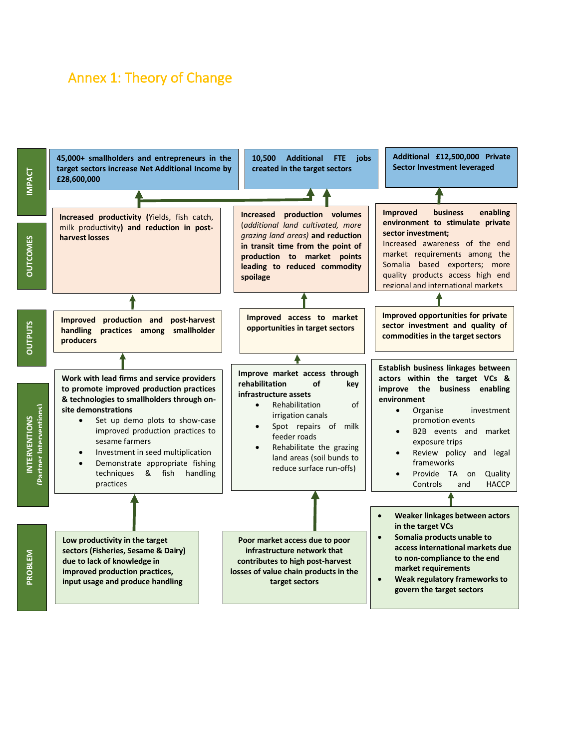## <span id="page-38-0"></span>Annex 1: Theory of Change